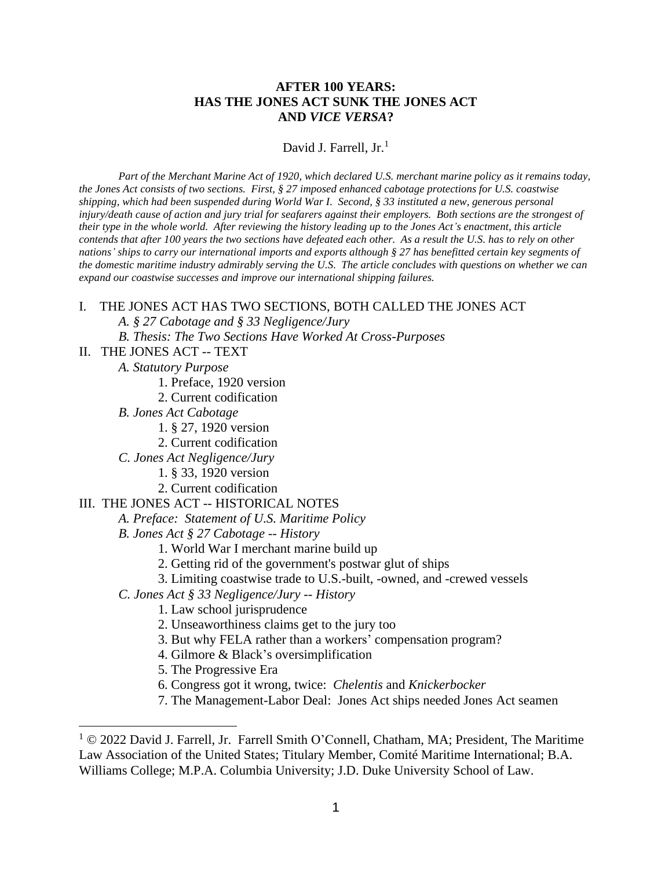## **AFTER 100 YEARS: HAS THE JONES ACT SUNK THE JONES ACT AND** *VICE VERSA***?**

David J. Farrell,  $Jr<sup>1</sup>$ 

*Part of the Merchant Marine Act of 1920, which declared U.S. merchant marine policy as it remains today, the Jones Act consists of two sections. First, § 27 imposed enhanced cabotage protections for U.S. coastwise shipping, which had been suspended during World War I. Second, § 33 instituted a new, generous personal injury/death cause of action and jury trial for seafarers against their employers. Both sections are the strongest of their type in the whole world. After reviewing the history leading up to the Jones Act's enactment, this article contends that after 100 years the two sections have defeated each other. As a result the U.S. has to rely on other nations' ships to carry our international imports and exports although § 27 has benefitted certain key segments of the domestic maritime industry admirably serving the U.S. The article concludes with questions on whether we can expand our coastwise successes and improve our international shipping failures.*

#### I. THE JONES ACT HAS TWO SECTIONS, BOTH CALLED THE JONES ACT

*A. § 27 Cabotage and § 33 Negligence/Jury*

*B. Thesis: The Two Sections Have Worked At Cross-Purposes*

#### II. THE JONES ACT -- TEXT

*A. Statutory Purpose*

- 1. Preface, 1920 version
- 2. Current codification
- *B. Jones Act Cabotage*
	- 1. § 27, 1920 version
	- 2. Current codification
- *C. Jones Act Negligence/Jury*
	- 1. § 33, 1920 version
	- 2. Current codification

#### III. THE JONES ACT -- HISTORICAL NOTES

*A. Preface: Statement of U.S. Maritime Policy*

*B. Jones Act § 27 Cabotage -- History*

- 1. World War I merchant marine build up
- 2. Getting rid of the government's postwar glut of ships
- 3. Limiting coastwise trade to U.S.-built, -owned, and -crewed vessels
- *C. Jones Act § 33 Negligence/Jury -- History*
	- 1. Law school jurisprudence
	- 2. Unseaworthiness claims get to the jury too
	- 3. But why FELA rather than a workers' compensation program?
	- 4. Gilmore & Black's oversimplification
	- 5. The Progressive Era
	- 6. Congress got it wrong, twice: *Chelentis* and *Knickerbocker*
	- 7. The Management-Labor Deal: Jones Act ships needed Jones Act seamen

<sup>&</sup>lt;sup>1</sup> © 2022 David J. Farrell, Jr. Farrell Smith O'Connell, Chatham, MA; President, The Maritime Law Association of the United States; Titulary Member, Comité Maritime International; B.A. Williams College; M.P.A. Columbia University; J.D. Duke University School of Law.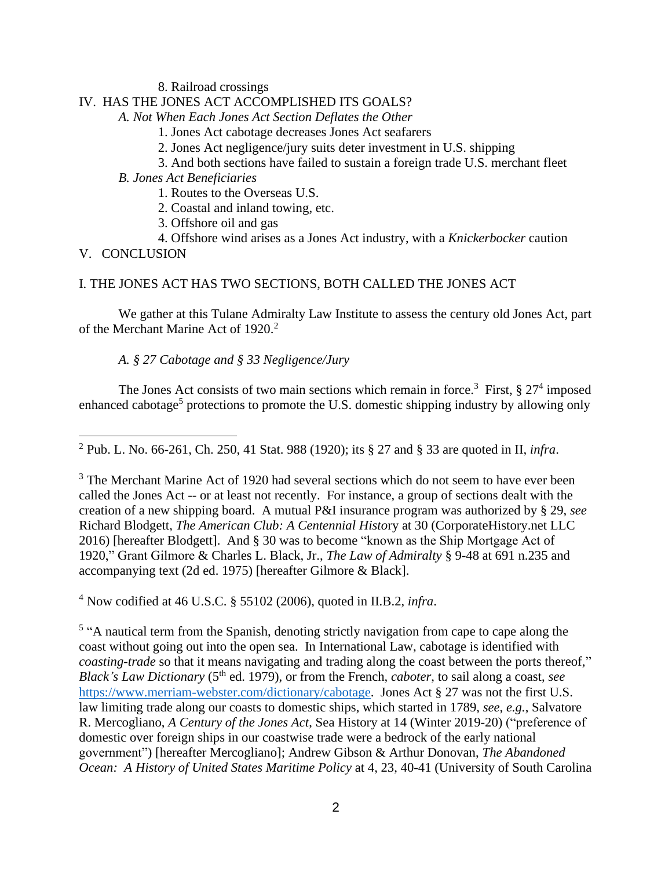8. Railroad crossings

## IV. HAS THE JONES ACT ACCOMPLISHED ITS GOALS?

*A. Not When Each Jones Act Section Deflates the Other*

- 1. Jones Act cabotage decreases Jones Act seafarers
- 2. Jones Act negligence/jury suits deter investment in U.S. shipping
- 3. And both sections have failed to sustain a foreign trade U.S. merchant fleet
- *B. Jones Act Beneficiaries*
	- 1. Routes to the Overseas U.S.
	- 2. Coastal and inland towing, etc.
	- 3. Offshore oil and gas
	- 4. Offshore wind arises as a Jones Act industry, with a *Knickerbocker* caution

V. CONCLUSION

## I. THE JONES ACT HAS TWO SECTIONS, BOTH CALLED THE JONES ACT

We gather at this Tulane Admiralty Law Institute to assess the century old Jones Act, part of the Merchant Marine Act of 1920.<sup>2</sup>

## *A. § 27 Cabotage and § 33 Negligence/Jury*

The Jones Act consists of two main sections which remain in force.<sup>3</sup> First,  $\S 27<sup>4</sup>$  imposed enhanced cabotage<sup>5</sup> protections to promote the U.S. domestic shipping industry by allowing only

<sup>4</sup> Now codified at 46 U.S.C. § 55102 (2006), quoted in II.B.2, *infra*.

<sup>5</sup> "A nautical term from the Spanish, denoting strictly navigation from cape to cape along the coast without going out into the open sea. In International Law, cabotage is identified with *coasting-trade* so that it means navigating and trading along the coast between the ports thereof," *Black's Law Dictionary* (5 th ed. 1979), or from the French, *caboter*, to sail along a coast, *see* [https://www.merriam-webster.com/dictionary/cabotage.](https://www.merriam-webster.com/dictionary/cabotage) Jones Act § 27 was not the first U.S. law limiting trade along our coasts to domestic ships, which started in 1789, *see*, *e.g.*, Salvatore R. Mercogliano, *A Century of the Jones Act*, Sea History at 14 (Winter 2019-20) ("preference of domestic over foreign ships in our coastwise trade were a bedrock of the early national government") [hereafter Mercogliano]; Andrew Gibson & Arthur Donovan, *The Abandoned Ocean: A History of United States Maritime Policy* at 4, 23, 40-41 (University of South Carolina

<sup>2</sup> Pub. L. No. 66-261, Ch. 250, 41 Stat. 988 (1920); its § 27 and § 33 are quoted in II, *infra*.

<sup>&</sup>lt;sup>3</sup> The Merchant Marine Act of 1920 had several sections which do not seem to have ever been called the Jones Act -- or at least not recently. For instance, a group of sections dealt with the creation of a new shipping board. A mutual P&I insurance program was authorized by § 29, *see* Richard Blodgett, *The American Club: A Centennial Histo*ry at 30 (CorporateHistory.net LLC 2016) [hereafter Blodgett]. And § 30 was to become "known as the Ship Mortgage Act of 1920," Grant Gilmore & Charles L. Black, Jr., *The Law of Admiralty* § 9-48 at 691 n.235 and accompanying text (2d ed. 1975) [hereafter Gilmore & Black].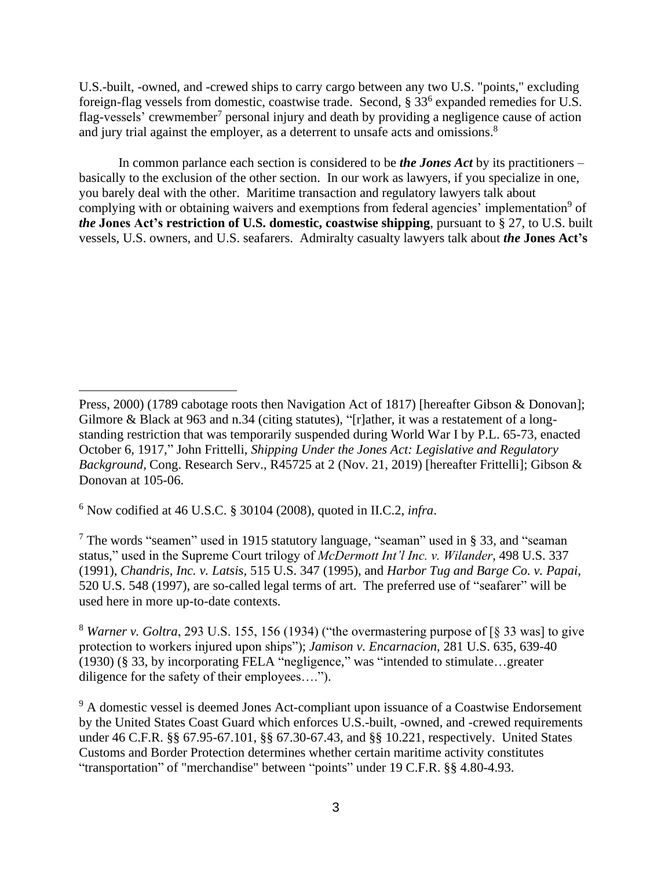U.S.-built, -owned, and -crewed ships to carry cargo between any two U.S. "points," excluding foreign-flag vessels from domestic, coastwise trade. Second,  $\S 33^6$  expanded remedies for U.S. flag-vessels' crewmember<sup>7</sup> personal injury and death by providing a negligence cause of action and jury trial against the employer, as a deterrent to unsafe acts and omissions.<sup>8</sup>

In common parlance each section is considered to be *the Jones Act* by its practitioners – basically to the exclusion of the other section. In our work as lawyers, if you specialize in one, you barely deal with the other. Maritime transaction and regulatory lawyers talk about complying with or obtaining waivers and exemptions from federal agencies' implementation<sup>9</sup> of *the* **Jones Act's restriction of U.S. domestic, coastwise shipping**, pursuant to § 27, to U.S. built vessels, U.S. owners, and U.S. seafarers. Admiralty casualty lawyers talk about *the* **Jones Act's**

<sup>6</sup> Now codified at 46 U.S.C. § 30104 (2008), quoted in II.C.2, *infra*.

<sup>7</sup> The words "seamen" used in 1915 statutory language, "seaman" used in § 33, and "seaman status," used in the Supreme Court trilogy of *McDermott Int'l Inc. v. Wilander*, 498 U.S. 337 (1991), *Chandris, Inc. v. Latsis,* 515 U.S. 347 (1995), and *Harbor Tug and Barge Co. v. Papai*, 520 U.S. 548 (1997), are so-called legal terms of art. The preferred use of "seafarer" will be used here in more up-to-date contexts.

<sup>8</sup> *Warner v. Goltra*, 293 U.S. 155, 156 (1934) ("the overmastering purpose of [§ 33 was] to give protection to workers injured upon ships"); *Jamison v. Encarnacion*, 281 U.S. 635, 639-40 (1930) (§ 33, by incorporating FELA "negligence," was "intended to stimulate…greater diligence for the safety of their employees….").

<sup>9</sup> A domestic vessel is deemed Jones Act-compliant upon issuance of a Coastwise Endorsement by the United States Coast Guard which enforces U.S.-built, -owned, and -crewed requirements under 46 C.F.R. §§ 67.95-67.101, §§ 67.30-67.43, and §§ 10.221, respectively. United States Customs and Border Protection determines whether certain maritime activity constitutes "transportation" of "merchandise" between "points" under 19 C.F.R. §§ 4.80-4.93.

Press, 2000) (1789 cabotage roots then Navigation Act of 1817) [hereafter Gibson & Donovan]; Gilmore & Black at 963 and n.34 (citing statutes), "[r]ather, it was a restatement of a longstanding restriction that was temporarily suspended during World War I by P.L. 65-73, enacted October 6, 1917," John Frittelli, *Shipping Under the Jones Act: Legislative and Regulatory Background,* Cong. Research Serv., R45725 at 2 (Nov. 21, 2019) [hereafter Frittelli]; Gibson & Donovan at 105-06.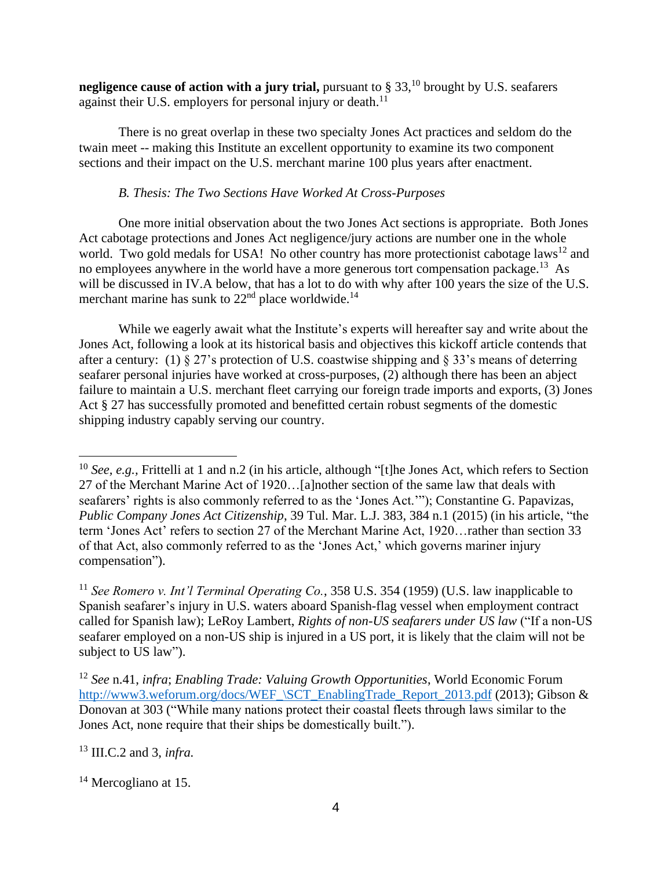**negligence cause of action with a jury trial,** pursuant to § 33,<sup>10</sup> brought by U.S. seafarers against their U.S. employers for personal injury or death.<sup>11</sup>

There is no great overlap in these two specialty Jones Act practices and seldom do the twain meet -- making this Institute an excellent opportunity to examine its two component sections and their impact on the U.S. merchant marine 100 plus years after enactment.

## *B. Thesis: The Two Sections Have Worked At Cross-Purposes*

One more initial observation about the two Jones Act sections is appropriate. Both Jones Act cabotage protections and Jones Act negligence/jury actions are number one in the whole world. Two gold medals for USA! No other country has more protectionist cabotage laws<sup>12</sup> and no employees anywhere in the world have a more generous tort compensation package.<sup>13</sup> As will be discussed in IV.A below, that has a lot to do with why after 100 years the size of the U.S. merchant marine has sunk to  $22<sup>nd</sup>$  place worldwide.<sup>14</sup>

While we eagerly await what the Institute's experts will hereafter say and write about the Jones Act, following a look at its historical basis and objectives this kickoff article contends that after a century: (1)  $\S 27$ 's protection of U.S. coastwise shipping and  $\S 33$ 's means of deterring seafarer personal injuries have worked at cross-purposes, (2) although there has been an abject failure to maintain a U.S. merchant fleet carrying our foreign trade imports and exports, (3) Jones Act § 27 has successfully promoted and benefitted certain robust segments of the domestic shipping industry capably serving our country.

<sup>13</sup> III.C.2 and 3, *infra.*

 $14$  Mercogliano at 15.

<sup>&</sup>lt;sup>10</sup> *See, e.g.*, Frittelli at 1 and n.2 (in his article, although "[t]he Jones Act, which refers to Section 27 of the Merchant Marine Act of 1920…[a]nother section of the same law that deals with seafarers' rights is also commonly referred to as the 'Jones Act.'"); Constantine G. Papavizas, *Public Company Jones Act Citizenship*, 39 Tul. Mar. L.J. 383, 384 n.1 (2015) (in his article, "the term 'Jones Act' refers to section 27 of the Merchant Marine Act, 1920…rather than section 33 of that Act, also commonly referred to as the 'Jones Act,' which governs mariner injury compensation").

<sup>11</sup> *See Romero v. Int'l Terminal Operating Co.*, 358 U.S. 354 (1959) (U.S. law inapplicable to Spanish seafarer's injury in U.S. waters aboard Spanish-flag vessel when employment contract called for Spanish law); LeRoy Lambert, *Rights of non-US seafarers under US law* ("If a non-US seafarer employed on a non-US ship is injured in a US port, it is likely that the claim will not be subject to US law").

<sup>12</sup> *See* n.41, *infra*; *Enabling Trade: Valuing Growth Opportunities*, World Economic Forum [http://www3.weforum.org/docs/WEF\\_\SCT\\_EnablingTrade\\_Report\\_2013.pdf](http://www3.weforum.org/docs/WEF_/SCT_EnablingTrade_Report_2013.pdf) (2013); Gibson & Donovan at 303 ("While many nations protect their coastal fleets through laws similar to the Jones Act, none require that their ships be domestically built.").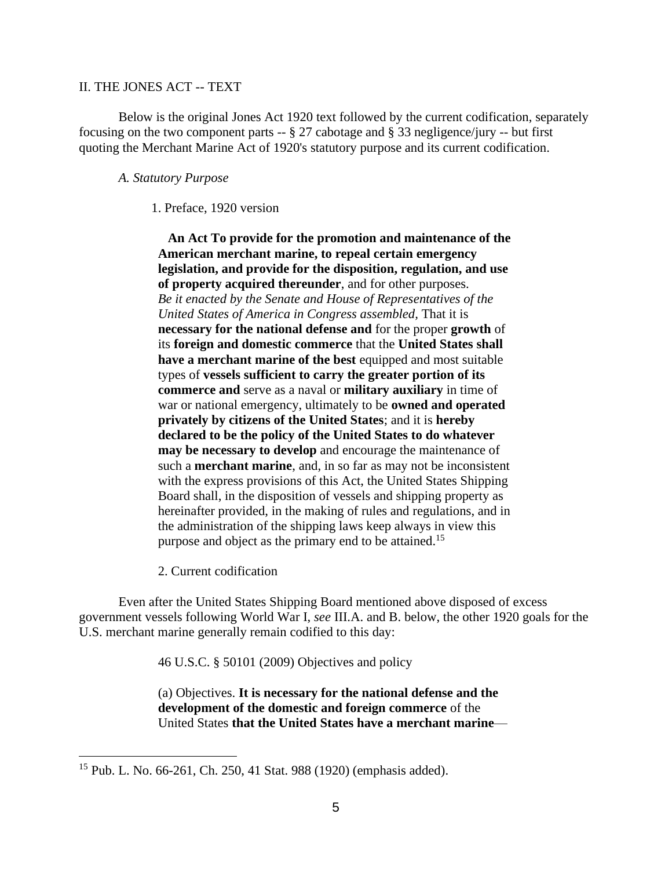#### II. THE JONES ACT -- TEXT

Below is the original Jones Act 1920 text followed by the current codification, separately focusing on the two component parts -- § 27 cabotage and § 33 negligence/jury -- but first quoting the Merchant Marine Act of 1920's statutory purpose and its current codification.

#### *A. Statutory Purpose*

#### 1. Preface, 1920 version

 **An Act To provide for the promotion and maintenance of the American merchant marine, to repeal certain emergency legislation, and provide for the disposition, regulation, and use of property acquired thereunder**, and for other purposes. *Be it enacted by the Senate and House of Representatives of the United States of America in Congress assembled,* That it is **necessary for the national defense and** for the proper **growth** of its **foreign and domestic commerce** that the **United States shall have a merchant marine of the best** equipped and most suitable types of **vessels sufficient to carry the greater portion of its commerce and** serve as a naval or **military auxiliary** in time of war or national emergency, ultimately to be **owned and operated privately by citizens of the United States**; and it is **hereby declared to be the policy of the United States to do whatever may be necessary to develop** and encourage the maintenance of such a **merchant marine**, and, in so far as may not be inconsistent with the express provisions of this Act, the United States Shipping Board shall, in the disposition of vessels and shipping property as hereinafter provided, in the making of rules and regulations, and in the administration of the shipping laws keep always in view this purpose and object as the primary end to be attained.<sup>15</sup>

2. Current codification

Even after the United States Shipping Board mentioned above disposed of excess government vessels following World War I, *see* III.A. and B. below, the other 1920 goals for the U.S. merchant marine generally remain codified to this day:

46 U.S.C. § 50101 (2009) Objectives and policy

(a) Objectives. **It is necessary for the national defense and the development of the domestic and foreign commerce** of the United States **that the United States have a merchant marine**—

<sup>15</sup> Pub. L. No. 66-261, Ch. 250, 41 Stat. 988 (1920) (emphasis added).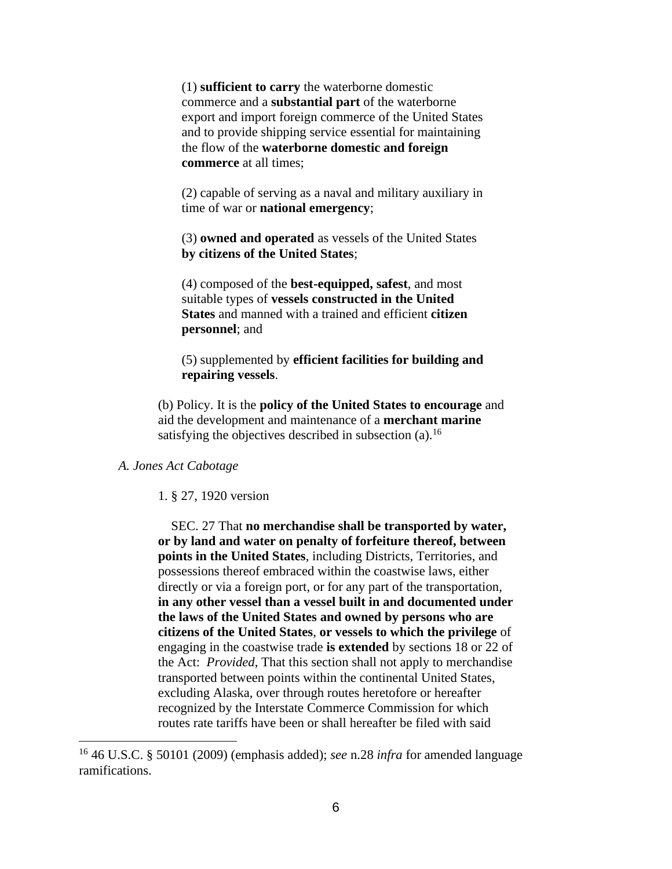(1) **sufficient to carry** the waterborne domestic commerce and a **substantial part** of the waterborne export and import foreign commerce of the United States and to provide shipping service essential for maintaining the flow of the **waterborne domestic and foreign commerce** at all times;

(2) capable of serving as a naval and military auxiliary in time of war or **national emergency**;

(3) **owned and operated** as vessels of the United States **by citizens of the United States**;

(4) composed of the **best-equipped, safest**, and most suitable types of **vessels constructed in the United States** and manned with a trained and efficient **citizen personnel**; and

(5) supplemented by **efficient facilities for building and repairing vessels**.

(b) Policy. It is the **policy of the United States to encourage** and aid the development and maintenance of a **merchant marine** satisfying the objectives described in subsection  $(a)$ .<sup>16</sup>

#### *A. Jones Act Cabotage*

#### 1. § 27, 1920 version

 SEC. 27 That **no merchandise shall be transported by water, or by land and water on penalty of forfeiture thereof, between points in the United States**, including Districts, Territories, and possessions thereof embraced within the coastwise laws, either directly or via a foreign port, or for any part of the transportation, **in any other vessel than a vessel built in and documented under the laws of the United States and owned by persons who are citizens of the United States**, **or vessels to which the privilege** of engaging in the coastwise trade **is extended** by sections 18 or 22 of the Act: *Provided*, That this section shall not apply to merchandise transported between points within the continental United States, excluding Alaska, over through routes heretofore or hereafter recognized by the Interstate Commerce Commission for which routes rate tariffs have been or shall hereafter be filed with said

<sup>16</sup> 46 U.S.C. § 50101 (2009) (emphasis added); *see* n.28 *infra* for amended language ramifications.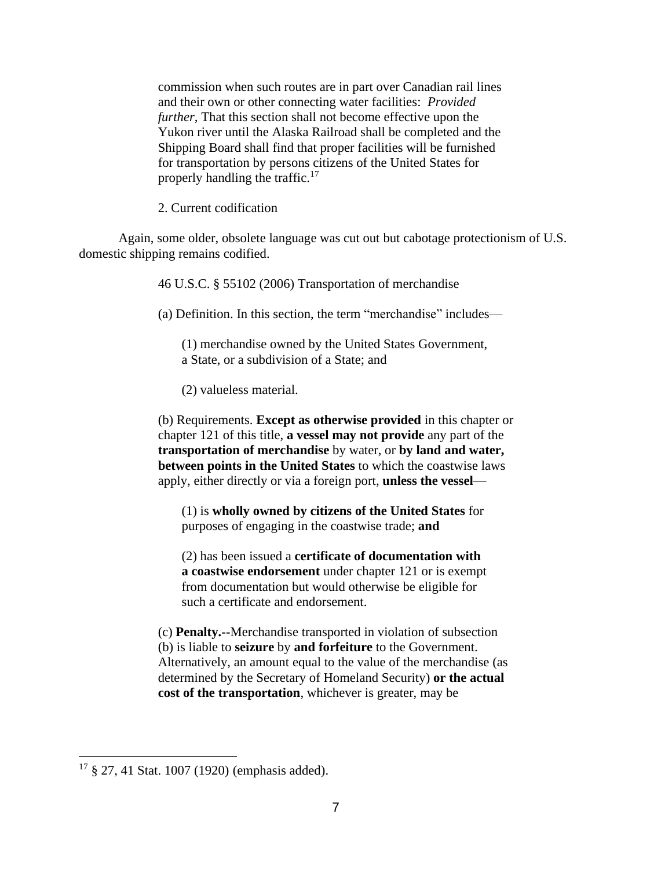commission when such routes are in part over Canadian rail lines and their own or other connecting water facilities: *Provided further*, That this section shall not become effective upon the Yukon river until the Alaska Railroad shall be completed and the Shipping Board shall find that proper facilities will be furnished for transportation by persons citizens of the United States for properly handling the traffic.<sup>17</sup>

2. Current codification

Again, some older, obsolete language was cut out but cabotage protectionism of U.S. domestic shipping remains codified.

46 U.S.C. § 55102 (2006) Transportation of merchandise

(a) Definition. In this section, the term "merchandise" includes—

(1) merchandise owned by the United States Government, a State, or a subdivision of a State; and

(2) valueless material.

(b) Requirements. **Except as otherwise provided** in this chapter or chapter 121 of this title, **a vessel may not provide** any part of the **transportation of merchandise** by water, or **by land and water, between points in the United States** to which the coastwise laws apply, either directly or via a foreign port, **unless the vessel**—

(1) is **wholly owned by citizens of the United States** for purposes of engaging in the coastwise trade; **and**

(2) has been issued a **certificate of documentation with a coastwise endorsement** under chapter 121 or is exempt from documentation but would otherwise be eligible for such a certificate and endorsement.

(c) **Penalty.--**Merchandise transported in violation of subsection (b) is liable to **seizure** by **and forfeiture** to the Government. Alternatively, an amount equal to the value of the merchandise (as determined by the Secretary of Homeland Security) **or the actual cost of the transportation**, whichever is greater, may be

<sup>17</sup> § 27, 41 Stat. 1007 (1920) (emphasis added).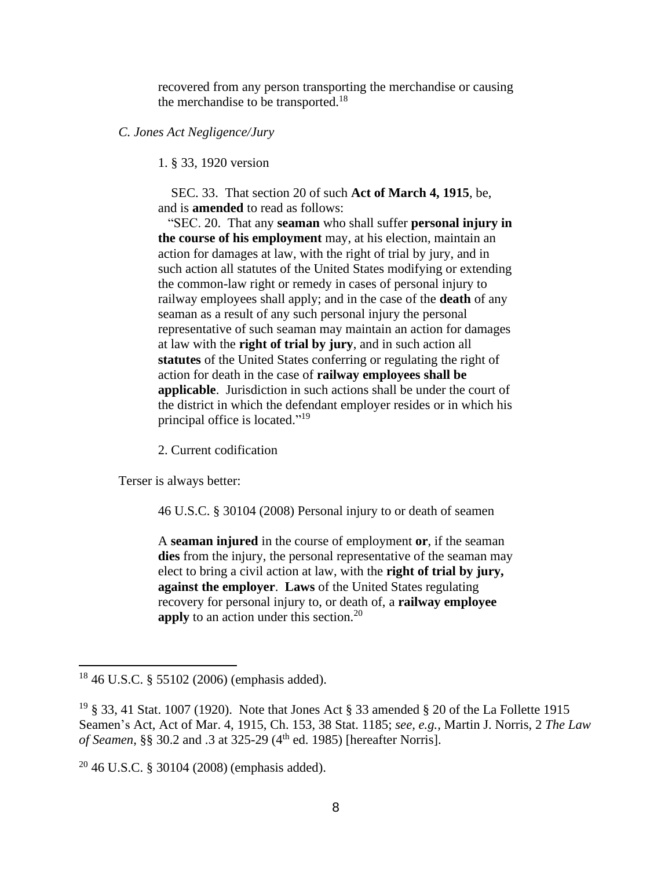recovered from any person transporting the merchandise or causing the merchandise to be transported.<sup>18</sup>

#### *C. Jones Act Negligence/Jury*

1. § 33, 1920 version

 SEC. 33. That section 20 of such **Act of March 4, 1915**, be, and is **amended** to read as follows:

 "SEC. 20. That any **seaman** who shall suffer **personal injury in the course of his employment** may, at his election, maintain an action for damages at law, with the right of trial by jury, and in such action all statutes of the United States modifying or extending the common-law right or remedy in cases of personal injury to railway employees shall apply; and in the case of the **death** of any seaman as a result of any such personal injury the personal representative of such seaman may maintain an action for damages at law with the **right of trial by jury**, and in such action all **statutes** of the United States conferring or regulating the right of action for death in the case of **railway employees shall be applicable**. Jurisdiction in such actions shall be under the court of the district in which the defendant employer resides or in which his principal office is located."<sup>19</sup>

2. Current codification

Terser is always better:

46 U.S.C. § 30104 (2008) Personal injury to or death of seamen

A **seaman injured** in the course of employment **or**, if the seaman **dies** from the injury, the personal representative of the seaman may elect to bring a civil action at law, with the **right of trial by jury, against the employer**. **Laws** of the United States regulating recovery for personal injury to, or death of, a **railway employee apply** to an action under this section.<sup>20</sup>

<sup>18</sup> 46 U.S.C. § 55102 (2006) (emphasis added).

<sup>&</sup>lt;sup>19</sup> § 33, 41 Stat. 1007 (1920). Note that Jones Act § 33 amended § 20 of the La Follette 1915 Seamen's Act, Act of Mar. 4, 1915, Ch. 153, 38 Stat. 1185; *see, e.g.,* Martin J. Norris, 2 *The Law of Seamen*, §§ 30.2 and .3 at 325-29 (4<sup>th</sup> ed. 1985) [hereafter Norris].

 $20\,46$  U.S.C. § 30104 (2008) (emphasis added).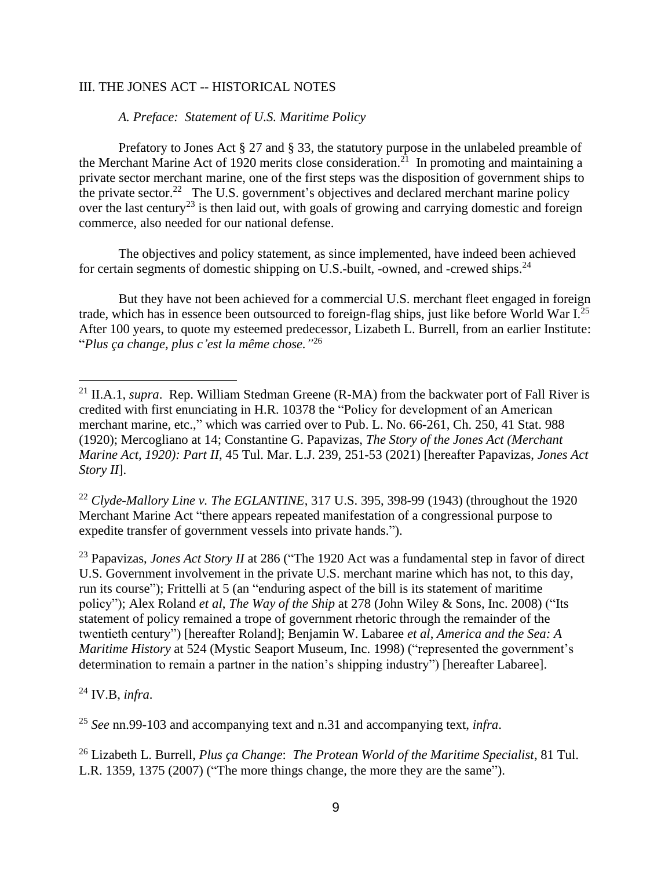## III. THE JONES ACT -- HISTORICAL NOTES

### *A. Preface: Statement of U.S. Maritime Policy*

Prefatory to Jones Act § 27 and § 33, the statutory purpose in the unlabeled preamble of the Merchant Marine Act of 1920 merits close consideration.<sup>21</sup> In promoting and maintaining a private sector merchant marine, one of the first steps was the disposition of government ships to the private sector.<sup>22</sup> The U.S. government's objectives and declared merchant marine policy over the last century<sup>23</sup> is then laid out, with goals of growing and carrying domestic and foreign commerce, also needed for our national defense.

The objectives and policy statement, as since implemented, have indeed been achieved for certain segments of domestic shipping on U.S.-built, -owned, and -crewed ships.<sup>24</sup>

But they have not been achieved for a commercial U.S. merchant fleet engaged in foreign trade, which has in essence been outsourced to foreign-flag ships, just like before World War I.<sup>25</sup> After 100 years, to quote my esteemed predecessor, Lizabeth L. Burrell, from an earlier Institute: "*Plus ça change, plus c'est la même chose."* 26

<sup>22</sup> *Clyde-Mallory Line v. The EGLANTINE*, 317 U.S. 395, 398-99 (1943) (throughout the 1920 Merchant Marine Act "there appears repeated manifestation of a congressional purpose to expedite transfer of government vessels into private hands.").

<sup>23</sup> Papavizas, *Jones Act Story II* at 286 ("The 1920 Act was a fundamental step in favor of direct U.S. Government involvement in the private U.S. merchant marine which has not, to this day, run its course"); Frittelli at 5 (an "enduring aspect of the bill is its statement of maritime policy"); Alex Roland *et al*, *The Way of the Ship* at 278 (John Wiley & Sons, Inc. 2008) ("Its statement of policy remained a trope of government rhetoric through the remainder of the twentieth century") [hereafter Roland]; Benjamin W. Labaree *et al*, *America and the Sea: A Maritime History* at 524 (Mystic Seaport Museum, Inc. 1998) ("represented the government's determination to remain a partner in the nation's shipping industry") [hereafter Labaree].

<sup>24</sup> IV.B, *infra*.

<sup>25</sup> *See* nn.99-103 and accompanying text and n.31 and accompanying text, *infra*.

<sup>26</sup> Lizabeth L. Burrell, *Plus ça Change*: *The Protean World of the Maritime Specialist*, 81 Tul. L.R. 1359, 1375 (2007) ("The more things change, the more they are the same").

<sup>&</sup>lt;sup>21</sup> II.A.1, *supra*. Rep. William Stedman Greene (R-MA) from the backwater port of Fall River is credited with first enunciating in H.R. 10378 the "Policy for development of an American merchant marine, etc.," which was carried over to Pub. L. No. 66-261, Ch. 250, 41 Stat. 988 (1920); Mercogliano at 14; Constantine G. Papavizas, *The Story of the Jones Act (Merchant Marine Act, 1920): Part II*, 45 Tul. Mar. L.J. 239, 251-53 (2021) [hereafter Papavizas, *Jones Act Story II*].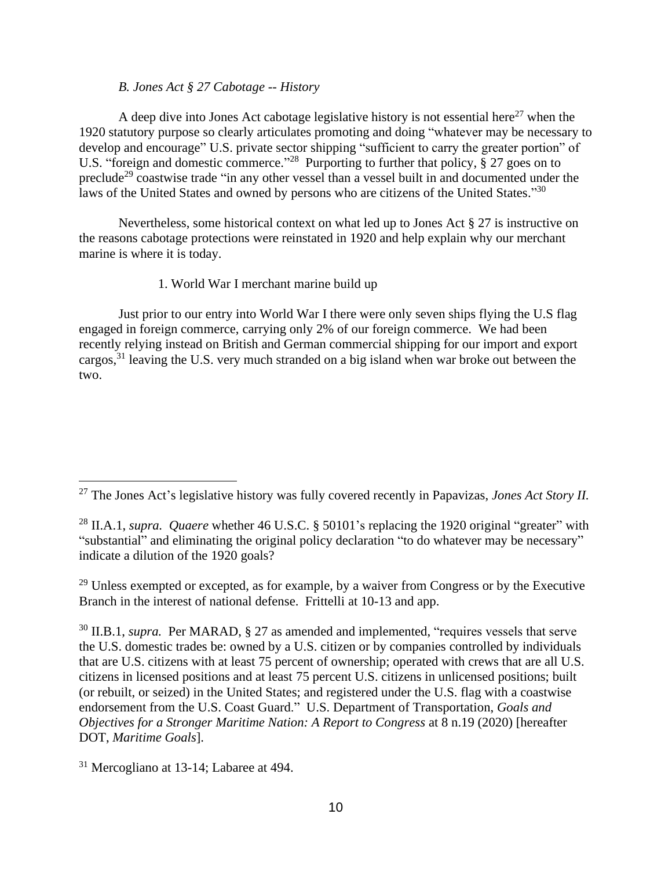### *B. Jones Act § 27 Cabotage -- History*

A deep dive into Jones Act cabotage legislative history is not essential here<sup>27</sup> when the 1920 statutory purpose so clearly articulates promoting and doing "whatever may be necessary to develop and encourage" U.S. private sector shipping "sufficient to carry the greater portion" of U.S. "foreign and domestic commerce."<sup>28</sup> Purporting to further that policy, § 27 goes on to preclude<sup>29</sup> coastwise trade "in any other vessel than a vessel built in and documented under the laws of the United States and owned by persons who are citizens of the United States."30

Nevertheless, some historical context on what led up to Jones Act § 27 is instructive on the reasons cabotage protections were reinstated in 1920 and help explain why our merchant marine is where it is today.

### 1. World War I merchant marine build up

Just prior to our entry into World War I there were only seven ships flying the U.S flag engaged in foreign commerce, carrying only 2% of our foreign commerce. We had been recently relying instead on British and German commercial shipping for our import and export cargos,<sup>31</sup> leaving the U.S. very much stranded on a big island when war broke out between the two.

 $29$  Unless exempted or excepted, as for example, by a waiver from Congress or by the Executive Branch in the interest of national defense. Frittelli at 10-13 and app.

<sup>30</sup> II.B.1, *supra*. Per MARAD, § 27 as amended and implemented, "requires vessels that serve the U.S. domestic trades be: owned by a U.S. citizen or by companies controlled by individuals that are U.S. citizens with at least 75 percent of ownership; operated with crews that are all U.S. citizens in licensed positions and at least 75 percent U.S. citizens in unlicensed positions; built (or rebuilt, or seized) in the United States; and registered under the U.S. flag with a coastwise endorsement from the U.S. Coast Guard." U.S. Department of Transportation, *Goals and Objectives for a Stronger Maritime Nation: A Report to Congress* at 8 n.19 (2020) [hereafter DOT, *Maritime Goals*].

<sup>27</sup> The Jones Act's legislative history was fully covered recently in Papavizas, *Jones Act Story II.* 

<sup>28</sup> II.A.1, *supra. Quaere* whether 46 U.S.C. § 50101's replacing the 1920 original "greater" with "substantial" and eliminating the original policy declaration "to do whatever may be necessary" indicate a dilution of the 1920 goals?

<sup>&</sup>lt;sup>31</sup> Mercogliano at 13-14; Labaree at 494.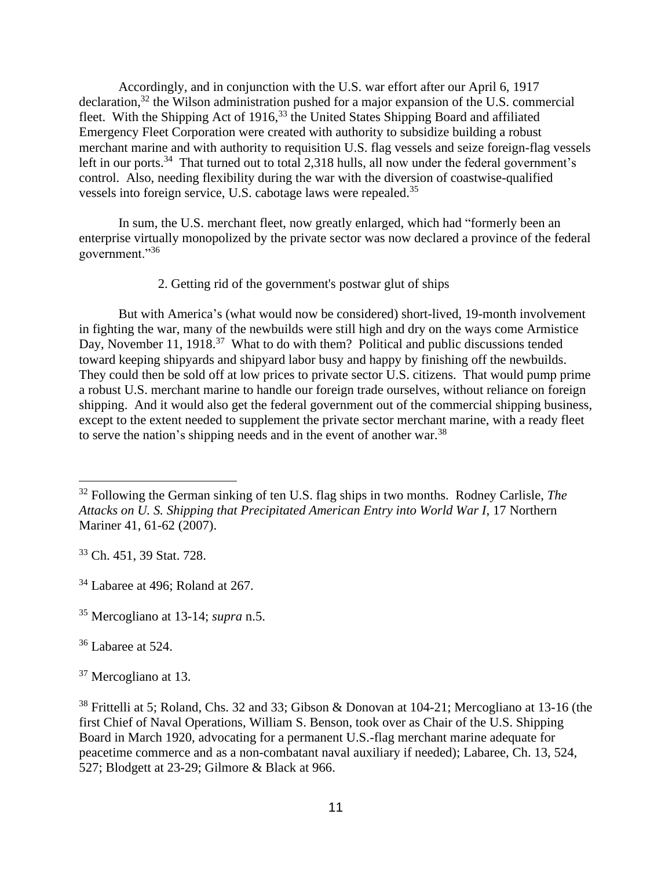Accordingly, and in conjunction with the U.S. war effort after our April 6, 1917 declaration,<sup>32</sup> the Wilson administration pushed for a major expansion of the U.S. commercial fleet. With the Shipping Act of 1916,<sup>33</sup> the United States Shipping Board and affiliated Emergency Fleet Corporation were created with authority to subsidize building a robust merchant marine and with authority to requisition U.S. flag vessels and seize foreign-flag vessels left in our ports.<sup>34</sup> That turned out to total 2,318 hulls, all now under the federal government's control. Also, needing flexibility during the war with the diversion of coastwise-qualified vessels into foreign service, U.S. cabotage laws were repealed.<sup>35</sup>

In sum, the U.S. merchant fleet, now greatly enlarged, which had "formerly been an enterprise virtually monopolized by the private sector was now declared a province of the federal government."<sup>36</sup>

2. Getting rid of the government's postwar glut of ships

But with America's (what would now be considered) short-lived, 19-month involvement in fighting the war, many of the newbuilds were still high and dry on the ways come Armistice Day, November 11, 1918.<sup>37</sup> What to do with them? Political and public discussions tended toward keeping shipyards and shipyard labor busy and happy by finishing off the newbuilds. They could then be sold off at low prices to private sector U.S. citizens. That would pump prime a robust U.S. merchant marine to handle our foreign trade ourselves, without reliance on foreign shipping. And it would also get the federal government out of the commercial shipping business, except to the extent needed to supplement the private sector merchant marine, with a ready fleet to serve the nation's shipping needs and in the event of another war.<sup>38</sup>

<sup>33</sup> Ch. 451, 39 Stat. 728.

<sup>35</sup> Mercogliano at 13-14; *supra* n.5.

<sup>36</sup> Labaree at 524.

<sup>37</sup> Mercogliano at 13.

<sup>32</sup> Following the German sinking of ten U.S. flag ships in two months. Rodney Carlisle, *The Attacks on U. S. Shipping that Precipitated American Entry into World War I*, 17 Northern Mariner 41, 61-62 (2007).

<sup>34</sup> Labaree at 496; Roland at 267.

<sup>38</sup> Frittelli at 5; Roland, Chs. 32 and 33; Gibson & Donovan at 104-21; Mercogliano at 13-16 (the first Chief of Naval Operations, William S. Benson, took over as Chair of the U.S. Shipping Board in March 1920, advocating for a permanent U.S.-flag merchant marine adequate for peacetime commerce and as a non-combatant naval auxiliary if needed); Labaree, Ch. 13, 524, 527; Blodgett at 23-29; Gilmore & Black at 966.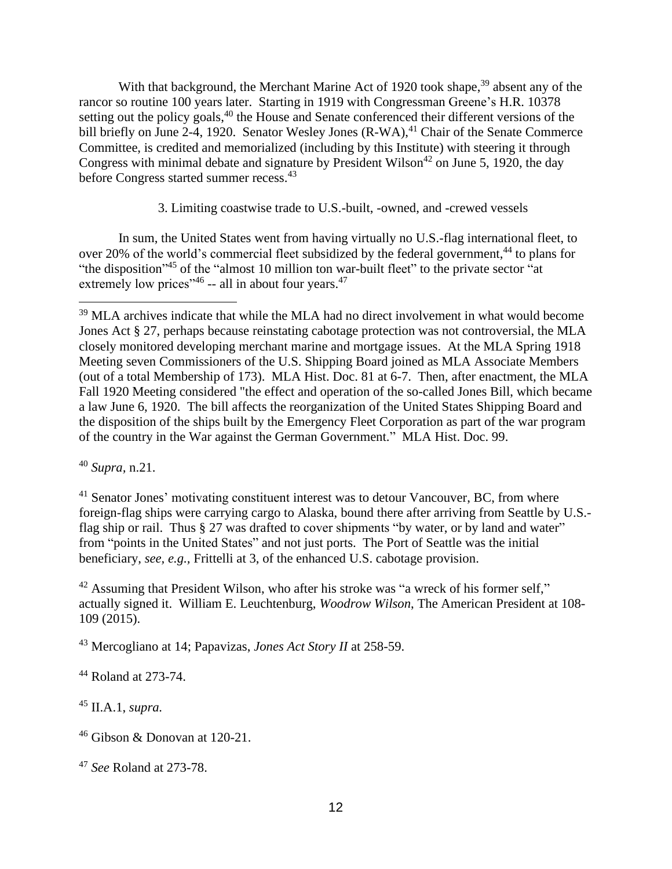With that background, the Merchant Marine Act of 1920 took shape,<sup>39</sup> absent any of the rancor so routine 100 years later. Starting in 1919 with Congressman Greene's H.R. 10378 setting out the policy goals,<sup>40</sup> the House and Senate conferenced their different versions of the bill briefly on June 2-4, 1920. Senator Wesley Jones (R-WA),<sup>41</sup> Chair of the Senate Commerce Committee, is credited and memorialized (including by this Institute) with steering it through Congress with minimal debate and signature by President Wilson<sup>42</sup> on June 5, 1920, the day before Congress started summer recess.<sup>43</sup>

3. Limiting coastwise trade to U.S.-built, -owned, and -crewed vessels

In sum, the United States went from having virtually no U.S.-flag international fleet, to over 20% of the world's commercial fleet subsidized by the federal government,<sup>44</sup> to plans for "the disposition"<sup>45</sup> of the "almost 10 million ton war-built fleet" to the private sector "at extremely low prices"<sup>46</sup> -- all in about four years.<sup>47</sup>

<sup>40</sup> *Supra,* n.21.

<sup>41</sup> Senator Jones' motivating constituent interest was to detour Vancouver, BC, from where foreign-flag ships were carrying cargo to Alaska, bound there after arriving from Seattle by U.S. flag ship or rail. Thus § 27 was drafted to cover shipments "by water, or by land and water" from "points in the United States" and not just ports. The Port of Seattle was the initial beneficiary, *see, e.g.,* Frittelli at 3, of the enhanced U.S. cabotage provision.

<sup>42</sup> Assuming that President Wilson, who after his stroke was "a wreck of his former self," actually signed it. William E. Leuchtenburg, *Woodrow Wilson*, The American President at 108- 109 (2015).

<sup>43</sup> Mercogliano at 14; Papavizas, *Jones Act Story II* at 258-59.

<sup>44</sup> Roland at 273-74.

<sup>45</sup> II.A.1, *supra.*

<sup>&</sup>lt;sup>39</sup> MLA archives indicate that while the MLA had no direct involvement in what would become Jones Act § 27, perhaps because reinstating cabotage protection was not controversial, the MLA closely monitored developing merchant marine and mortgage issues. At the MLA Spring 1918 Meeting seven Commissioners of the U.S. Shipping Board joined as MLA Associate Members (out of a total Membership of 173). MLA Hist. Doc. 81 at 6-7. Then, after enactment, the MLA Fall 1920 Meeting considered "the effect and operation of the so-called Jones Bill, which became a law June 6, 1920. The bill affects the reorganization of the United States Shipping Board and the disposition of the ships built by the Emergency Fleet Corporation as part of the war program of the country in the War against the German Government." MLA Hist. Doc. 99.

<sup>46</sup> Gibson & Donovan at 120-21.

<sup>47</sup> *See* Roland at 273-78.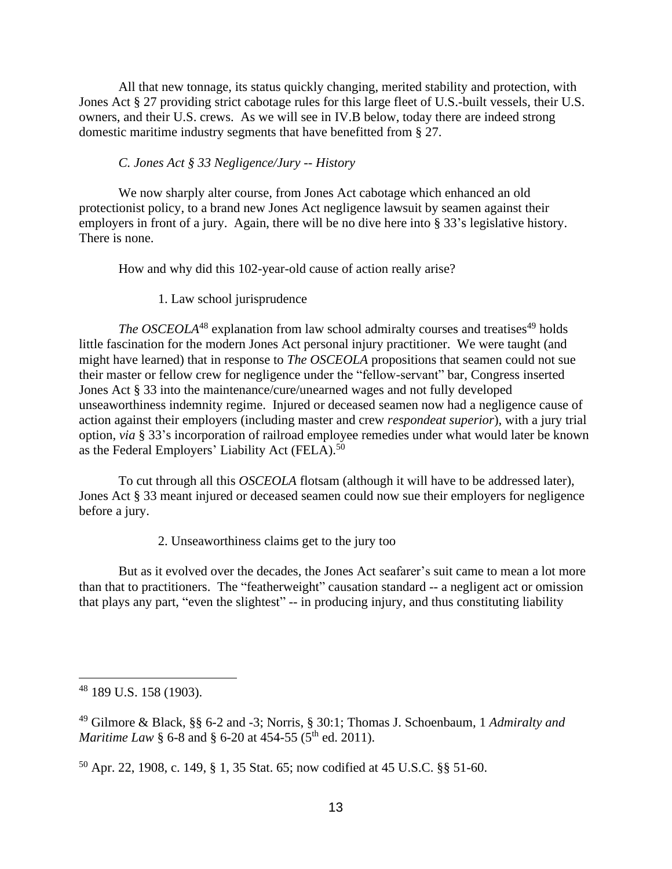All that new tonnage, its status quickly changing, merited stability and protection, with Jones Act § 27 providing strict cabotage rules for this large fleet of U.S.-built vessels, their U.S. owners, and their U.S. crews. As we will see in IV.B below, today there are indeed strong domestic maritime industry segments that have benefitted from § 27.

### *C. Jones Act § 33 Negligence/Jury -- History*

We now sharply alter course, from Jones Act cabotage which enhanced an old protectionist policy, to a brand new Jones Act negligence lawsuit by seamen against their employers in front of a jury. Again, there will be no dive here into § 33's legislative history. There is none.

How and why did this 102-year-old cause of action really arise?

1. Law school jurisprudence

*The OSCEOLA*<sup>48</sup> explanation from law school admiralty courses and treatises<sup>49</sup> holds little fascination for the modern Jones Act personal injury practitioner. We were taught (and might have learned) that in response to *The OSCEOLA* propositions that seamen could not sue their master or fellow crew for negligence under the "fellow-servant" bar, Congress inserted Jones Act § 33 into the maintenance/cure/unearned wages and not fully developed unseaworthiness indemnity regime. Injured or deceased seamen now had a negligence cause of action against their employers (including master and crew *respondeat superior*), with a jury trial option, *via* § 33's incorporation of railroad employee remedies under what would later be known as the Federal Employers' Liability Act (FELA).<sup>50</sup>

To cut through all this *OSCEOLA* flotsam (although it will have to be addressed later), Jones Act § 33 meant injured or deceased seamen could now sue their employers for negligence before a jury.

2. Unseaworthiness claims get to the jury too

But as it evolved over the decades, the Jones Act seafarer's suit came to mean a lot more than that to practitioners. The "featherweight" causation standard -- a negligent act or omission that plays any part, "even the slightest" -- in producing injury, and thus constituting liability

<sup>48</sup> 189 U.S. 158 (1903).

<sup>49</sup> Gilmore & Black, §§ 6-2 and -3; Norris, § 30:1; Thomas J. Schoenbaum, 1 *Admiralty and Maritime Law §* 6-8 and *§* 6-20 at 454-55 (5<sup>th</sup> ed. 2011).

<sup>50</sup> Apr. 22, 1908, c. 149, § 1, 35 Stat. 65; now codified at 45 U.S.C. §§ 51-60.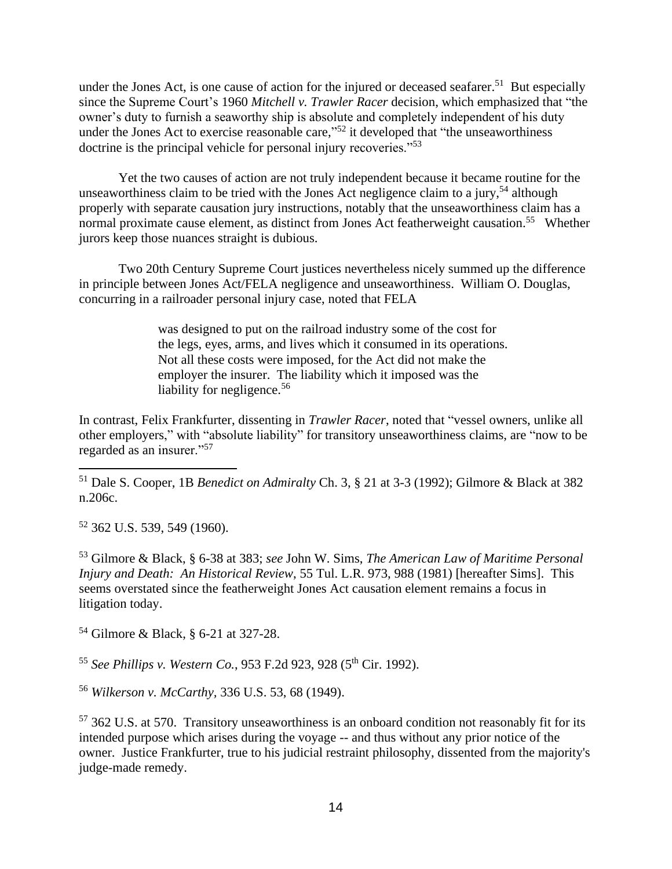under the Jones Act, is one cause of action for the injured or deceased seafarer.<sup>51</sup> But especially since the Supreme Court's 1960 *Mitchell v. Trawler Racer* decision, which emphasized that "the owner's duty to furnish a seaworthy ship is absolute and completely independent of his duty under the Jones Act to exercise reasonable care,"<sup>52</sup> it developed that "the unseaworthiness" doctrine is the principal vehicle for personal injury recoveries."<sup>53</sup>

Yet the two causes of action are not truly independent because it became routine for the unseaworthiness claim to be tried with the Jones Act negligence claim to a jury,<sup>54</sup> although properly with separate causation jury instructions, notably that the unseaworthiness claim has a normal proximate cause element, as distinct from Jones Act featherweight causation.<sup>55</sup> Whether jurors keep those nuances straight is dubious.

Two 20th Century Supreme Court justices nevertheless nicely summed up the difference in principle between Jones Act/FELA negligence and unseaworthiness. William O. Douglas, concurring in a railroader personal injury case, noted that FELA

> was designed to put on the railroad industry some of the cost for the legs, eyes, arms, and lives which it consumed in its operations. Not all these costs were imposed, for the Act did not make the employer the insurer. The liability which it imposed was the liability for negligence.<sup>56</sup>

In contrast, Felix Frankfurter, dissenting in *Trawler Racer*, noted that "vessel owners, unlike all other employers," with "absolute liability" for transitory unseaworthiness claims, are "now to be regarded as an insurer."<sup>57</sup>

<sup>51</sup> Dale S. Cooper, 1B *Benedict on Admiralty* Ch. 3, § 21 at 3-3 (1992); Gilmore & Black at 382 n.206c.

<sup>52</sup> 362 U.S. 539, 549 (1960).

<sup>53</sup> Gilmore & Black, § 6-38 at 383; *see* John W. Sims, *The American Law of Maritime Personal Injury and Death: An Historical Review*, 55 Tul. L.R. 973, 988 (1981) [hereafter Sims]. This seems overstated since the featherweight Jones Act causation element remains a focus in litigation today.

<sup>54</sup> Gilmore & Black, § 6-21 at 327-28.

<sup>55</sup> *See Phillips v. Western Co.*, 953 F.2d 923, 928 (5<sup>th</sup> Cir. 1992).

<sup>56</sup> *Wilkerson v. McCarthy,* 336 U.S. 53, 68 (1949).

<sup>57</sup> 362 U.S. at 570. Transitory unseaworthiness is an onboard condition not reasonably fit for its intended purpose which arises during the voyage -- and thus without any prior notice of the owner. Justice Frankfurter, true to his judicial restraint philosophy, dissented from the majority's judge-made remedy.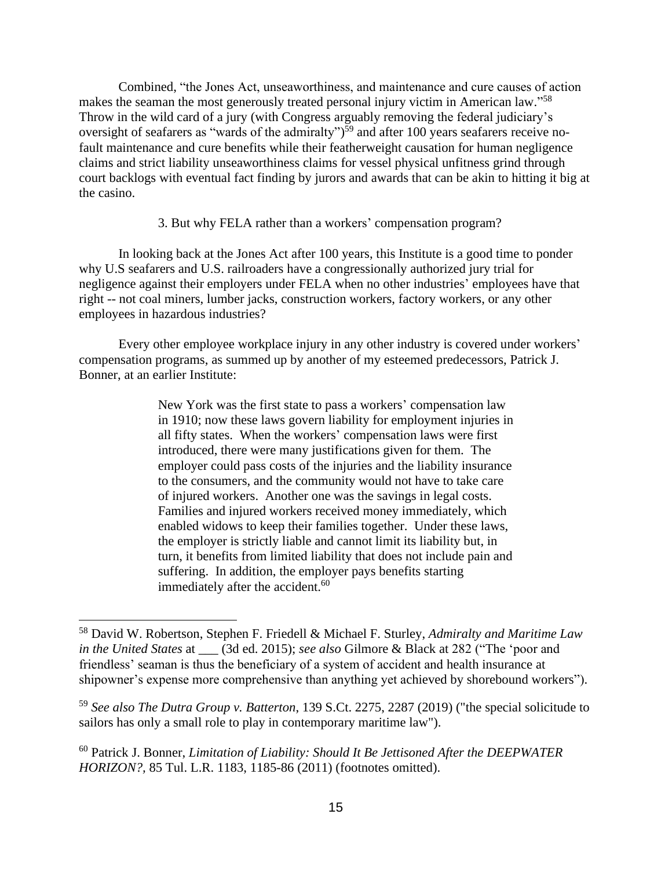Combined, "the Jones Act, unseaworthiness, and maintenance and cure causes of action makes the seaman the most generously treated personal injury victim in American law."<sup>58</sup> Throw in the wild card of a jury (with Congress arguably removing the federal judiciary's oversight of seafarers as "wards of the admiralty")<sup>59</sup> and after 100 years seafarers receive nofault maintenance and cure benefits while their featherweight causation for human negligence claims and strict liability unseaworthiness claims for vessel physical unfitness grind through court backlogs with eventual fact finding by jurors and awards that can be akin to hitting it big at the casino.

#### 3. But why FELA rather than a workers' compensation program?

In looking back at the Jones Act after 100 years, this Institute is a good time to ponder why U.S seafarers and U.S. railroaders have a congressionally authorized jury trial for negligence against their employers under FELA when no other industries' employees have that right -- not coal miners, lumber jacks, construction workers, factory workers, or any other employees in hazardous industries?

Every other employee workplace injury in any other industry is covered under workers' compensation programs, as summed up by another of my esteemed predecessors, Patrick J. Bonner, at an earlier Institute:

> New York was the first state to pass a workers' compensation law in 1910; now these laws govern liability for employment injuries in all fifty states. When the workers' compensation laws were first introduced, there were many justifications given for them. The employer could pass costs of the injuries and the liability insurance to the consumers, and the community would not have to take care of injured workers. Another one was the savings in legal costs. Families and injured workers received money immediately, which enabled widows to keep their families together. Under these laws, the employer is strictly liable and cannot limit its liability but, in turn, it benefits from limited liability that does not include pain and suffering. In addition, the employer pays benefits starting immediately after the accident.<sup>60</sup>

<sup>58</sup> David W. Robertson, Stephen F. Friedell & Michael F. Sturley, *Admiralty and Maritime Law in the United States* at \_\_\_ (3d ed. 2015); *see also* Gilmore & Black at 282 ("The 'poor and friendless' seaman is thus the beneficiary of a system of accident and health insurance at shipowner's expense more comprehensive than anything yet achieved by shorebound workers").

<sup>59</sup> *See also The Dutra Group v. Batterton*, 139 S.Ct. 2275, 2287 (2019) ("the special solicitude to sailors has only a small role to play in contemporary maritime law").

<sup>60</sup> Patrick J. Bonner, *Limitation of Liability: Should It Be Jettisoned After the DEEPWATER HORIZON?,* 85 Tul. L.R. 1183, 1185-86 (2011) (footnotes omitted).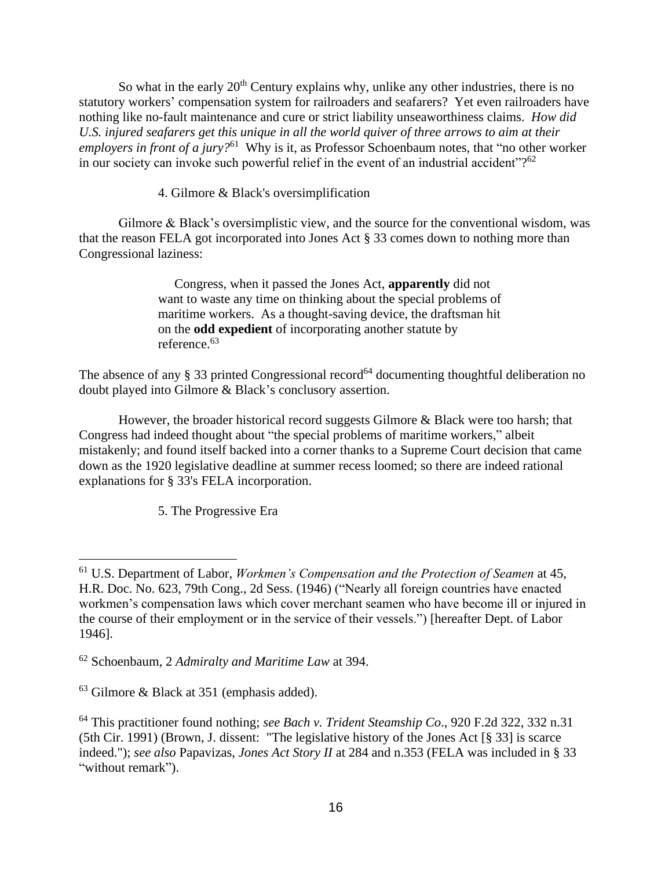So what in the early  $20<sup>th</sup>$  Century explains why, unlike any other industries, there is no statutory workers' compensation system for railroaders and seafarers? Yet even railroaders have nothing like no-fault maintenance and cure or strict liability unseaworthiness claims. *How did U.S. injured seafarers get this unique in all the world quiver of three arrows to aim at their employers in front of a jury?*<sup>61</sup> Why is it, as Professor Schoenbaum notes, that "no other worker in our society can invoke such powerful relief in the event of an industrial accident"?<sup>62</sup>

4. Gilmore & Black's oversimplification

Gilmore & Black's oversimplistic view, and the source for the conventional wisdom, was that the reason FELA got incorporated into Jones Act § 33 comes down to nothing more than Congressional laziness:

> Congress, when it passed the Jones Act, **apparently** did not want to waste any time on thinking about the special problems of maritime workers. As a thought-saving device, the draftsman hit on the **odd expedient** of incorporating another statute by reference.<sup>63</sup>

The absence of any  $\S 33$  printed Congressional record<sup>64</sup> documenting thoughtful deliberation no doubt played into Gilmore & Black's conclusory assertion.

However, the broader historical record suggests Gilmore & Black were too harsh; that Congress had indeed thought about "the special problems of maritime workers," albeit mistakenly; and found itself backed into a corner thanks to a Supreme Court decision that came down as the 1920 legislative deadline at summer recess loomed; so there are indeed rational explanations for § 33's FELA incorporation.

5. The Progressive Era

<sup>61</sup> U.S. Department of Labor, *Workmen's Compensation and the Protection of Seamen* at 45, H.R. Doc. No. 623, 79th Cong., 2d Sess. (1946) ("Nearly all foreign countries have enacted workmen's compensation laws which cover merchant seamen who have become ill or injured in the course of their employment or in the service of their vessels.") [hereafter Dept. of Labor 1946].

<sup>62</sup> Schoenbaum, 2 *Admiralty and Maritime Law* at 394.

<sup>63</sup> Gilmore & Black at 351 (emphasis added).

<sup>64</sup> This practitioner found nothing; *see Bach v. Trident Steamship Co*., 920 F.2d 322, 332 n.31 (5th Cir. 1991) (Brown, J. dissent: "The legislative history of the Jones Act [§ 33] is scarce indeed."); *see also* Papavizas, *Jones Act Story II* at 284 and n.353 (FELA was included in § 33 "without remark").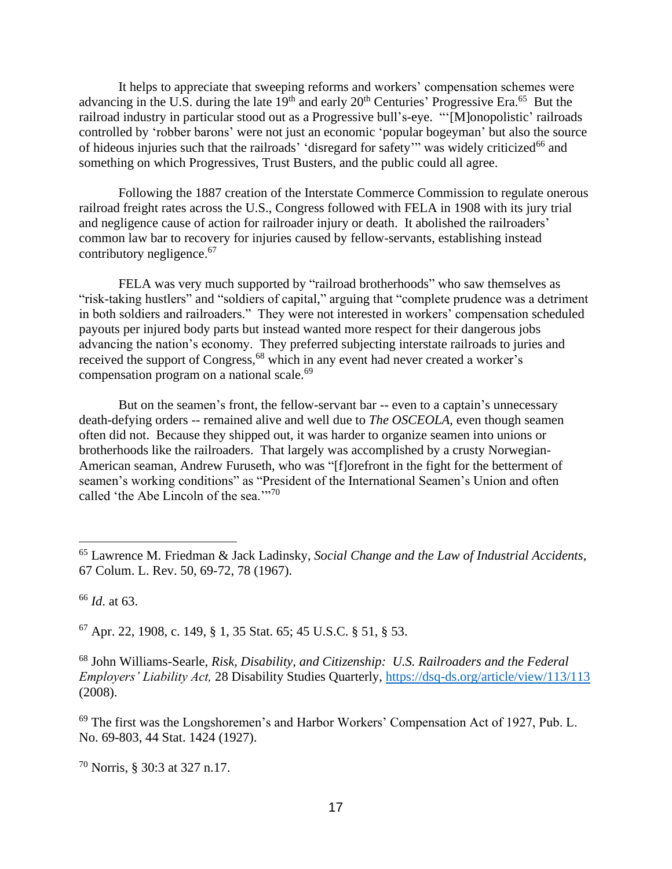It helps to appreciate that sweeping reforms and workers' compensation schemes were advancing in the U.S. during the late  $19<sup>th</sup>$  and early  $20<sup>th</sup>$  Centuries' Progressive Era.<sup>65</sup> But the railroad industry in particular stood out as a Progressive bull's-eye. "'[M]onopolistic' railroads controlled by 'robber barons' were not just an economic 'popular bogeyman' but also the source of hideous injuries such that the railroads' 'disregard for safety'" was widely criticized<sup>66</sup> and something on which Progressives, Trust Busters, and the public could all agree.

Following the 1887 creation of the Interstate Commerce Commission to regulate onerous railroad freight rates across the U.S., Congress followed with FELA in 1908 with its jury trial and negligence cause of action for railroader injury or death. It abolished the railroaders' common law bar to recovery for injuries caused by fellow-servants, establishing instead contributory negligence. 67

FELA was very much supported by "railroad brotherhoods" who saw themselves as "risk-taking hustlers" and "soldiers of capital," arguing that "complete prudence was a detriment in both soldiers and railroaders." They were not interested in workers' compensation scheduled payouts per injured body parts but instead wanted more respect for their dangerous jobs advancing the nation's economy. They preferred subjecting interstate railroads to juries and received the support of Congress,<sup>68</sup> which in any event had never created a worker's compensation program on a national scale.<sup>69</sup>

But on the seamen's front, the fellow-servant bar -- even to a captain's unnecessary death-defying orders -- remained alive and well due to *The OSCEOLA,* even though seamen often did not. Because they shipped out, it was harder to organize seamen into unions or brotherhoods like the railroaders. That largely was accomplished by a crusty Norwegian-American seaman, Andrew Furuseth, who was "[f]orefront in the fight for the betterment of seamen's working conditions" as "President of the International Seamen's Union and often called 'the Abe Lincoln of the sea.'"<sup>70</sup>

<sup>66</sup> *Id*. at 63.

<sup>67</sup> Apr. 22, 1908, c. 149, § 1, 35 Stat. 65; 45 U.S.C. § 51, § 53.

<sup>68</sup> John Williams-Searle, *Risk, Disability, and Citizenship: U.S. Railroaders and the Federal Employers' Liability Act,* 28 Disability Studies Quarterly, <https://dsq-ds.org/article/view/113/113> (2008).

<sup>69</sup> The first was the Longshoremen's and Harbor Workers' Compensation Act of 1927, Pub. L. No. 69-803, 44 Stat. 1424 (1927).

<sup>70</sup> Norris, § 30:3 at 327 n.17.

<sup>65</sup> Lawrence M. Friedman & Jack Ladinsky, *Social Change and the Law of Industrial Accidents*, 67 Colum. L. Rev. 50, 69-72, 78 (1967).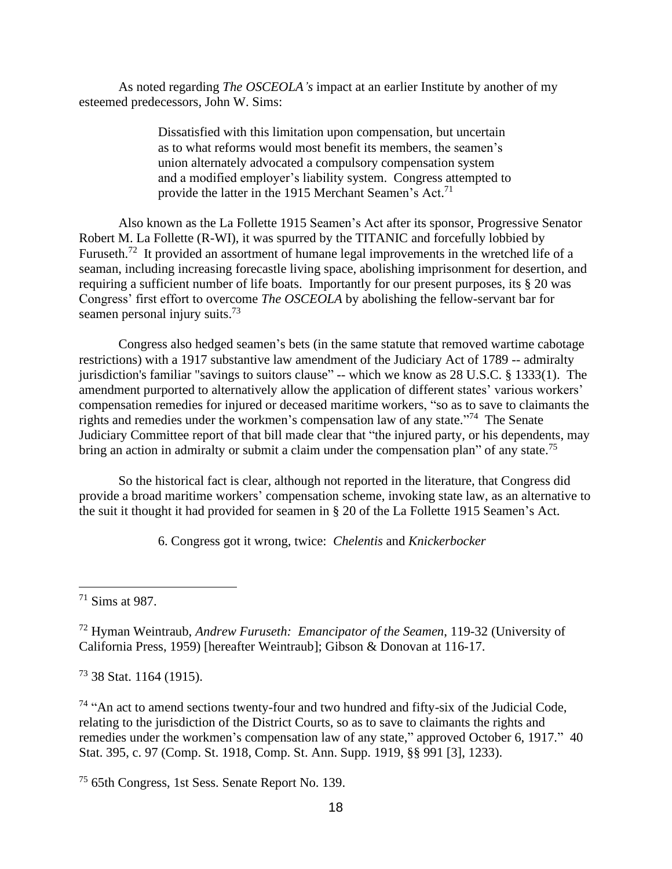As noted regarding *The OSCEOLA's* impact at an earlier Institute by another of my esteemed predecessors, John W. Sims:

> Dissatisfied with this limitation upon compensation, but uncertain as to what reforms would most benefit its members, the seamen's union alternately advocated a compulsory compensation system and a modified employer's liability system. Congress attempted to provide the latter in the 1915 Merchant Seamen's Act.<sup>71</sup>

Also known as the La Follette 1915 Seamen's Act after its sponsor, Progressive Senator Robert M. La Follette (R-WI), it was spurred by the TITANIC and forcefully lobbied by Furuseth.<sup>72</sup> It provided an assortment of humane legal improvements in the wretched life of a seaman, including increasing forecastle living space, abolishing imprisonment for desertion, and requiring a sufficient number of life boats. Importantly for our present purposes, its § 20 was Congress' first effort to overcome *The OSCEOLA* by abolishing the fellow-servant bar for seamen personal injury suits.<sup>73</sup>

Congress also hedged seamen's bets (in the same statute that removed wartime cabotage restrictions) with a 1917 substantive law amendment of the Judiciary Act of 1789 -- admiralty jurisdiction's familiar "savings to suitors clause" -- which we know as 28 U.S.C. § 1333(1). The amendment purported to alternatively allow the application of different states' various workers' compensation remedies for injured or deceased maritime workers, "so as to save to claimants the rights and remedies under the workmen's compensation law of any state."<sup>74</sup> The Senate Judiciary Committee report of that bill made clear that "the injured party, or his dependents, may bring an action in admiralty or submit a claim under the compensation plan" of any state.<sup>75</sup>

So the historical fact is clear, although not reported in the literature, that Congress did provide a broad maritime workers' compensation scheme, invoking state law, as an alternative to the suit it thought it had provided for seamen in § 20 of the La Follette 1915 Seamen's Act.

6. Congress got it wrong, twice: *Chelentis* and *Knickerbocker*

 $73$  38 Stat. 1164 (1915).

<sup>74</sup> "An act to amend sections twenty-four and two hundred and fifty-six of the Judicial Code, relating to the jurisdiction of the District Courts, so as to save to claimants the rights and remedies under the workmen's compensation law of any state," approved October 6, 1917." 40 Stat. 395, c. 97 (Comp. St. 1918, Comp. St. Ann. Supp. 1919, §§ 991 [3], 1233).

<sup>75</sup> 65th Congress, 1st Sess. Senate Report No. 139.

<sup>71</sup> Sims at 987.

<sup>72</sup> Hyman Weintraub, *Andrew Furuseth: Emancipator of the Seamen*, 119-32 (University of California Press, 1959) [hereafter Weintraub]; Gibson & Donovan at 116-17.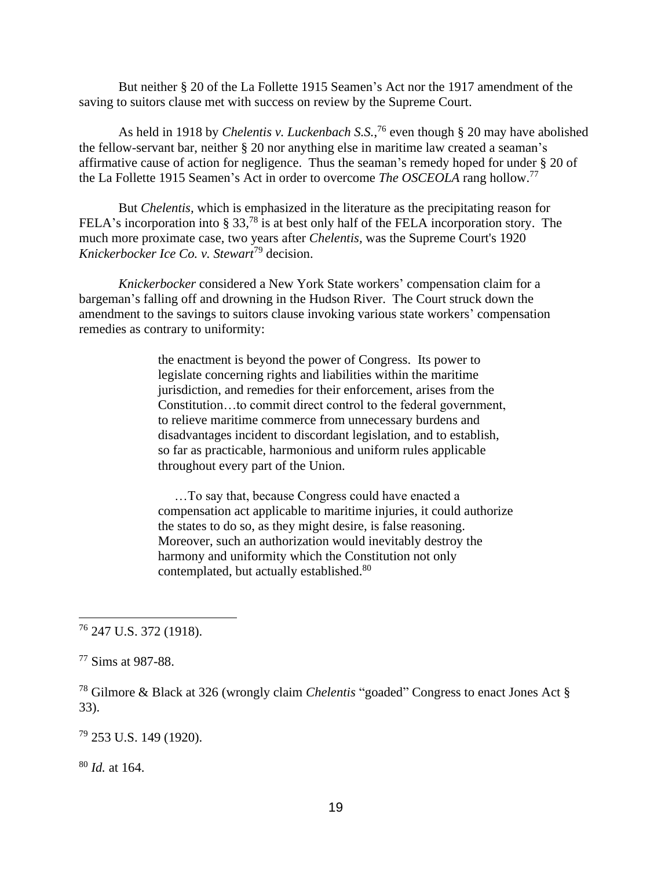But neither § 20 of the La Follette 1915 Seamen's Act nor the 1917 amendment of the saving to suitors clause met with success on review by the Supreme Court.

As held in 1918 by *Chelentis v. Luckenbach S.S.*, <sup>76</sup> even though § 20 may have abolished the fellow-servant bar, neither § 20 nor anything else in maritime law created a seaman's affirmative cause of action for negligence. Thus the seaman's remedy hoped for under § 20 of the La Follette 1915 Seamen's Act in order to overcome *The OSCEOLA* rang hollow.<sup>77</sup>

But *Chelentis,* which is emphasized in the literature as the precipitating reason for FELA's incorporation into § 33,<sup>78</sup> is at best only half of the FELA incorporation story. The much more proximate case, two years after *Chelentis,* was the Supreme Court's 1920 *Knickerbocker Ice Co. v. Stewart*<sup>79</sup> decision.

*Knickerbocker* considered a New York State workers' compensation claim for a bargeman's falling off and drowning in the Hudson River. The Court struck down the amendment to the savings to suitors clause invoking various state workers' compensation remedies as contrary to uniformity:

> the enactment is beyond the power of Congress. Its power to legislate concerning rights and liabilities within the maritime jurisdiction, and remedies for their enforcement, arises from the Constitution…to commit direct control to the federal government, to relieve maritime commerce from unnecessary burdens and disadvantages incident to discordant legislation, and to establish, so far as practicable, harmonious and uniform rules applicable throughout every part of the Union.

 …To say that, because Congress could have enacted a compensation act applicable to maritime injuries, it could authorize the states to do so, as they might desire, is false reasoning. Moreover, such an authorization would inevitably destroy the harmony and uniformity which the Constitution not only contemplated, but actually established.<sup>80</sup>

<sup>78</sup> Gilmore & Black at 326 (wrongly claim *Chelentis* "goaded" Congress to enact Jones Act § 33).

<sup>79</sup> 253 U.S. 149 (1920).

<sup>80</sup> *Id.* at 164.

<sup>76</sup> 247 U.S. 372 (1918).

<sup>77</sup> Sims at 987-88.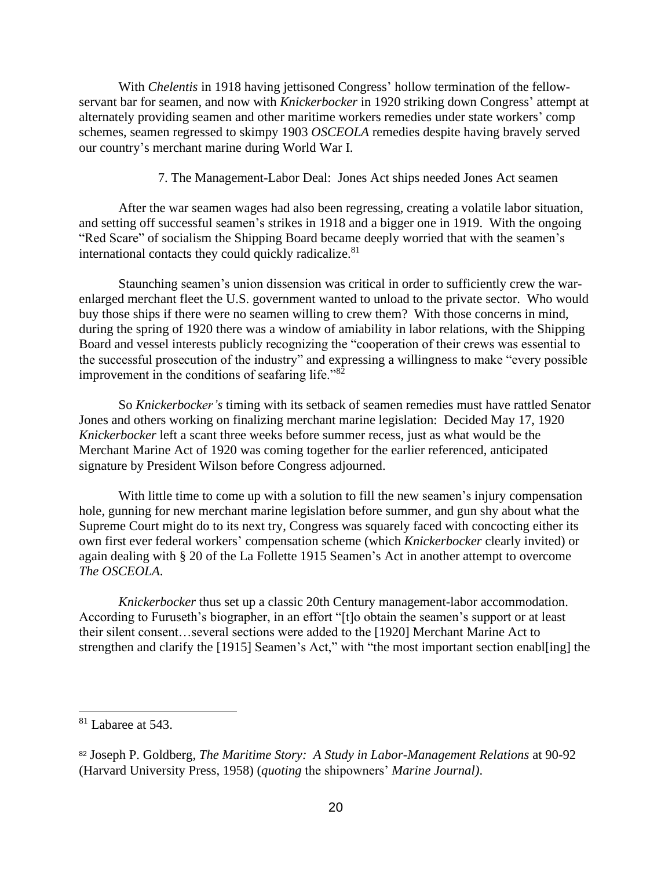With *Chelentis* in 1918 having jettisoned Congress' hollow termination of the fellowservant bar for seamen, and now with *Knickerbocker* in 1920 striking down Congress' attempt at alternately providing seamen and other maritime workers remedies under state workers' comp schemes, seamen regressed to skimpy 1903 *OSCEOLA* remedies despite having bravely served our country's merchant marine during World War I.

7. The Management-Labor Deal: Jones Act ships needed Jones Act seamen

After the war seamen wages had also been regressing, creating a volatile labor situation, and setting off successful seamen's strikes in 1918 and a bigger one in 1919. With the ongoing "Red Scare" of socialism the Shipping Board became deeply worried that with the seamen's international contacts they could quickly radicalize.<sup>81</sup>

 Staunching seamen's union dissension was critical in order to sufficiently crew the warenlarged merchant fleet the U.S. government wanted to unload to the private sector. Who would buy those ships if there were no seamen willing to crew them? With those concerns in mind, during the spring of 1920 there was a window of amiability in labor relations, with the Shipping Board and vessel interests publicly recognizing the "cooperation of their crews was essential to the successful prosecution of the industry" and expressing a willingness to make "every possible improvement in the conditions of seafaring life."<sup>82</sup>

So *Knickerbocker's* timing with its setback of seamen remedies must have rattled Senator Jones and others working on finalizing merchant marine legislation: Decided May 17, 1920 *Knickerbocker* left a scant three weeks before summer recess, just as what would be the Merchant Marine Act of 1920 was coming together for the earlier referenced, anticipated signature by President Wilson before Congress adjourned.

With little time to come up with a solution to fill the new seamen's injury compensation hole, gunning for new merchant marine legislation before summer, and gun shy about what the Supreme Court might do to its next try, Congress was squarely faced with concocting either its own first ever federal workers' compensation scheme (which *Knickerbocker* clearly invited) or again dealing with § 20 of the La Follette 1915 Seamen's Act in another attempt to overcome *The OSCEOLA*.

*Knickerbocker* thus set up a classic 20th Century management-labor accommodation. According to Furuseth's biographer, in an effort "[t]o obtain the seamen's support or at least their silent consent…several sections were added to the [1920] Merchant Marine Act to strengthen and clarify the [1915] Seamen's Act," with "the most important section enables and ling] the

<sup>81</sup> Labaree at 543.

<sup>82</sup> Joseph P. Goldberg, *The Maritime Story: A Study in Labor-Management Relations* at 90-92 (Harvard University Press, 1958) (*quoting* the shipowners' *Marine Journal)*.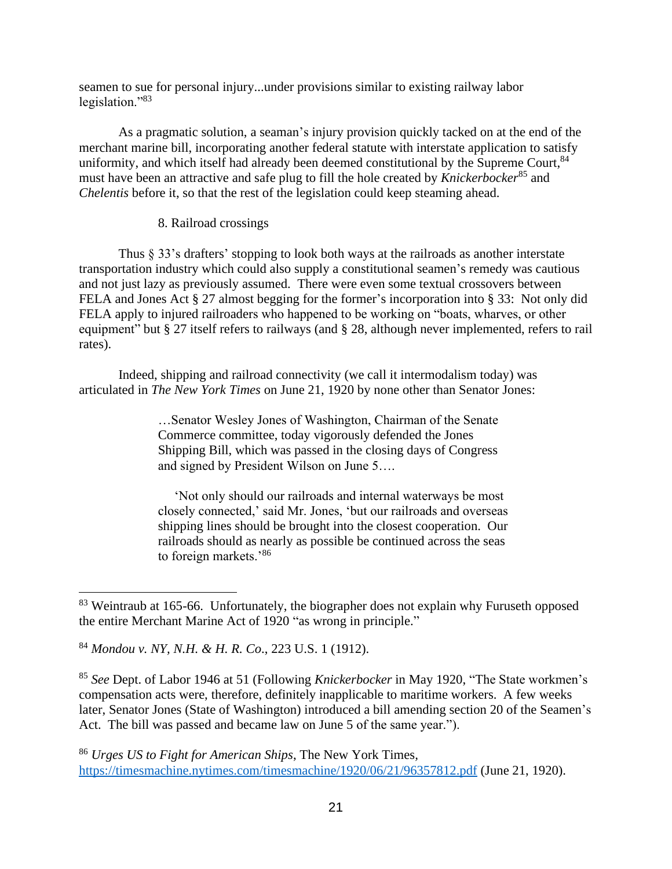seamen to sue for personal injury...under provisions similar to existing railway labor legislation."<sup>83</sup>

As a pragmatic solution, a seaman's injury provision quickly tacked on at the end of the merchant marine bill, incorporating another federal statute with interstate application to satisfy uniformity, and which itself had already been deemed constitutional by the Supreme Court, <sup>84</sup> must have been an attractive and safe plug to fill the hole created by *Knickerbocker*<sup>85</sup> and *Chelentis* before it, so that the rest of the legislation could keep steaming ahead.

#### 8. Railroad crossings

Thus § 33's drafters' stopping to look both ways at the railroads as another interstate transportation industry which could also supply a constitutional seamen's remedy was cautious and not just lazy as previously assumed. There were even some textual crossovers between FELA and Jones Act § 27 almost begging for the former's incorporation into § 33: Not only did FELA apply to injured railroaders who happened to be working on "boats, wharves, or other equipment" but § 27 itself refers to railways (and § 28, although never implemented, refers to rail rates).

Indeed, shipping and railroad connectivity (we call it intermodalism today) was articulated in *The New York Times* on June 21, 1920 by none other than Senator Jones:

> …Senator Wesley Jones of Washington, Chairman of the Senate Commerce committee, today vigorously defended the Jones Shipping Bill, which was passed in the closing days of Congress and signed by President Wilson on June 5….

 'Not only should our railroads and internal waterways be most closely connected,' said Mr. Jones, 'but our railroads and overseas shipping lines should be brought into the closest cooperation. Our railroads should as nearly as possible be continued across the seas to foreign markets.'86

<sup>85</sup> *See* Dept. of Labor 1946 at 51 (Following *Knickerbocker* in May 1920, "The State workmen's compensation acts were, therefore, definitely inapplicable to maritime workers. A few weeks later, Senator Jones (State of Washington) introduced a bill amending section 20 of the Seamen's Act. The bill was passed and became law on June 5 of the same year.").

<sup>86</sup> *Urges US to Fight for American Ships*, The New York Times*,*  <https://timesmachine.nytimes.com/timesmachine/1920/06/21/96357812.pdf> (June 21, 1920).

<sup>&</sup>lt;sup>83</sup> Weintraub at 165-66. Unfortunately, the biographer does not explain why Furuseth opposed the entire Merchant Marine Act of 1920 "as wrong in principle."

<sup>84</sup> *Mondou v. NY, N.H. & H. R. Co*., 223 U.S. 1 (1912).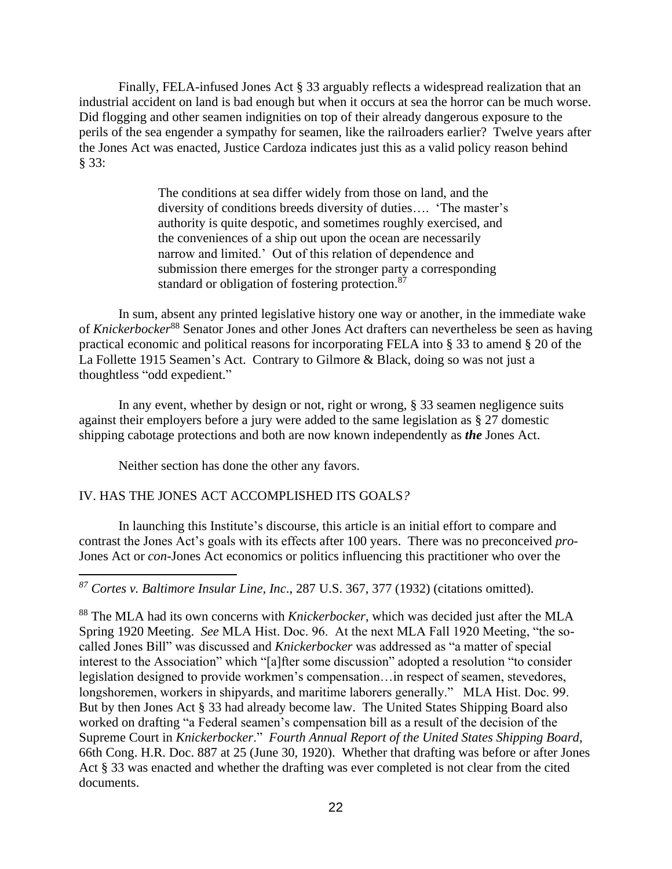Finally, FELA-infused Jones Act § 33 arguably reflects a widespread realization that an industrial accident on land is bad enough but when it occurs at sea the horror can be much worse. Did flogging and other seamen indignities on top of their already dangerous exposure to the perils of the sea engender a sympathy for seamen, like the railroaders earlier? Twelve years after the Jones Act was enacted, Justice Cardoza indicates just this as a valid policy reason behind § 33:

> The conditions at sea differ widely from those on land, and the diversity of conditions breeds diversity of duties…. 'The master's authority is quite despotic, and sometimes roughly exercised, and the conveniences of a ship out upon the ocean are necessarily narrow and limited.' Out of this relation of dependence and submission there emerges for the stronger party a corresponding standard or obligation of fostering protection.<sup>87</sup>

In sum, absent any printed legislative history one way or another, in the immediate wake of *Knickerbocker*<sup>88</sup> Senator Jones and other Jones Act drafters can nevertheless be seen as having practical economic and political reasons for incorporating FELA into § 33 to amend § 20 of the La Follette 1915 Seamen's Act. Contrary to Gilmore & Black, doing so was not just a thoughtless "odd expedient."

In any event, whether by design or not, right or wrong, § 33 seamen negligence suits against their employers before a jury were added to the same legislation as § 27 domestic shipping cabotage protections and both are now known independently as *the* Jones Act.

Neither section has done the other any favors.

### IV. HAS THE JONES ACT ACCOMPLISHED ITS GOALS*?*

In launching this Institute's discourse, this article is an initial effort to compare and contrast the Jones Act's goals with its effects after 100 years. There was no preconceived *pro-*Jones Act or *con-*Jones Act economics or politics influencing this practitioner who over the

*<sup>87</sup> Cortes v. Baltimore Insular Line, Inc*., 287 U.S. 367, 377 (1932) (citations omitted).

<sup>88</sup> The MLA had its own concerns with *Knickerbocker*, which was decided just after the MLA Spring 1920 Meeting. *See* MLA Hist. Doc. 96. At the next MLA Fall 1920 Meeting, "the socalled Jones Bill" was discussed and *Knickerbocker* was addressed as "a matter of special interest to the Association" which "[a]fter some discussion" adopted a resolution "to consider legislation designed to provide workmen's compensation…in respect of seamen, stevedores, longshoremen, workers in shipyards, and maritime laborers generally." MLA Hist. Doc. 99. But by then Jones Act § 33 had already become law. The United States Shipping Board also worked on drafting "a Federal seamen's compensation bill as a result of the decision of the Supreme Court in *Knickerbocker*." *Fourth Annual Report of the United States Shipping Board,* 66th Cong. H.R. Doc. 887 at 25 (June 30, 1920). Whether that drafting was before or after Jones Act § 33 was enacted and whether the drafting was ever completed is not clear from the cited documents.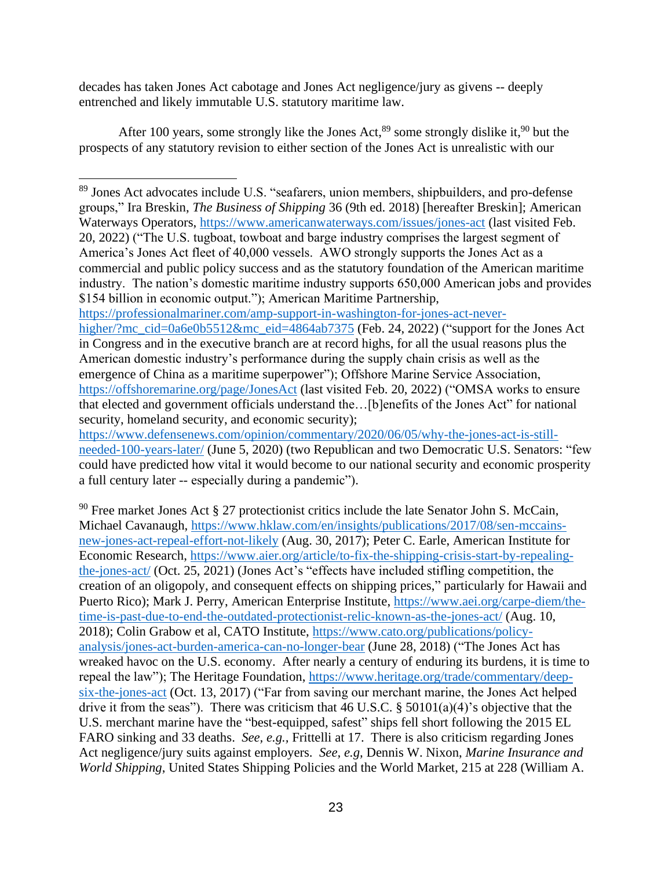decades has taken Jones Act cabotage and Jones Act negligence/jury as givens -- deeply entrenched and likely immutable U.S. statutory maritime law.

After 100 years, some strongly like the Jones Act,  $89$  some strongly dislike it,  $90$  but the prospects of any statutory revision to either section of the Jones Act is unrealistic with our

[https://professionalmariner.com/amp-support-in-washington-for-jones-act-never-](https://professionalmariner.com/amp-support-in-washington-for-jones-act-never-higher/?mc_cid=0a6e0b5512&mc_eid=4864ab7375)

[higher/?mc\\_cid=0a6e0b5512&mc\\_eid=4864ab7375](https://professionalmariner.com/amp-support-in-washington-for-jones-act-never-higher/?mc_cid=0a6e0b5512&mc_eid=4864ab7375) (Feb. 24, 2022) ("support for the Jones Act in Congress and in the executive branch are at record highs, for all the usual reasons plus the American domestic industry's performance during the supply chain crisis as well as the emergence of China as a maritime superpower"); Offshore Marine Service Association, <https://offshoremarine.org/page/JonesAct> (last visited Feb. 20, 2022) ("OMSA works to ensure that elected and government officials understand the…[b]enefits of the Jones Act" for national security, homeland security, and economic security);

[https://www.defensenews.com/opinion/commentary/2020/06/05/why-the-jones-act-is-still](https://www.defensenews.com/opinion/commentary/2020/06/05/why-the-jones-act-is-still-needed-100-years-later/)[needed-100-years-later/](https://www.defensenews.com/opinion/commentary/2020/06/05/why-the-jones-act-is-still-needed-100-years-later/) (June 5, 2020) (two Republican and two Democratic U.S. Senators: "few could have predicted how vital it would become to our national security and economic prosperity a full century later -- especially during a pandemic").

 $90$  Free market Jones Act § 27 protectionist critics include the late Senator John S. McCain, Michael Cavanaugh, [https://www.hklaw.com/en/insights/publications/2017/08/sen-mccains](https://www.hklaw.com/en/insights/publications/2017/08/sen-mccains-new-jones-act-repeal-effort-not-likely)[new-jones-act-repeal-effort-not-likely](https://www.hklaw.com/en/insights/publications/2017/08/sen-mccains-new-jones-act-repeal-effort-not-likely) (Aug. 30, 2017); Peter C. Earle, American Institute for Economic Research, [https://www.aier.org/article/to-fix-the-shipping-crisis-start-by-repealing](https://www.aier.org/article/to-fix-the-shipping-crisis-start-by-repealing-the-jones-act/)[the-jones-act/](https://www.aier.org/article/to-fix-the-shipping-crisis-start-by-repealing-the-jones-act/) (Oct. 25, 2021) (Jones Act's "effects have included stifling competition, the creation of an oligopoly, and consequent effects on shipping prices," particularly for Hawaii and Puerto Rico); Mark J. Perry, American Enterprise Institute, [https://www.aei.org/carpe-diem/the](https://www.aei.org/carpe-diem/the-time-is-past-due-to-end-the-outdated-protectionist-relic-known-as-the-jones-act/)[time-is-past-due-to-end-the-outdated-protectionist-relic-known-as-the-jones-act/](https://www.aei.org/carpe-diem/the-time-is-past-due-to-end-the-outdated-protectionist-relic-known-as-the-jones-act/) (Aug. 10, 2018); Colin Grabow et al, CATO Institute, [https://www.cato.org/publications/policy](https://www.cato.org/publications/policy-analysis/jones-act-burden-america-can-no-longer-bear)[analysis/jones-act-burden-america-can-no-longer-bear](https://www.cato.org/publications/policy-analysis/jones-act-burden-america-can-no-longer-bear) (June 28, 2018) ("The Jones Act has wreaked havoc on the U.S. economy. After nearly a century of enduring its burdens, it is time to repeal the law"); The Heritage Foundation, [https://www.heritage.org/trade/commentary/deep](https://www.heritage.org/trade/commentary/deep-six-the-jones-act)[six-the-jones-act](https://www.heritage.org/trade/commentary/deep-six-the-jones-act) (Oct. 13, 2017) ("Far from saving our merchant marine, the Jones Act helped drive it from the seas"). There was criticism that 46 U.S.C. § 50101(a)(4)'s objective that the U.S. merchant marine have the "best-equipped, safest" ships fell short following the 2015 EL FARO sinking and 33 deaths. *See, e.g.,* Frittelli at 17. There is also criticism regarding Jones Act negligence/jury suits against employers. *See, e.g,* Dennis W. Nixon, *Marine Insurance and World Shipping*, United States Shipping Policies and the World Market, 215 at 228 (William A.

<sup>&</sup>lt;sup>89</sup> Jones Act advocates include U.S. "seafarers, union members, shipbuilders, and pro-defense groups," Ira Breskin, *The Business of Shipping* 36 (9th ed. 2018) [hereafter Breskin]; American Waterways Operators, <https://www.americanwaterways.com/issues/jones-act> (last visited Feb. 20, 2022) ("The U.S. tugboat, towboat and barge industry comprises the largest segment of America's Jones Act fleet of 40,000 vessels. AWO strongly supports the Jones Act as a commercial and public policy success and as the statutory foundation of the American maritime industry. The nation's domestic maritime industry supports 650,000 American jobs and provides \$154 billion in economic output."); American Maritime Partnership,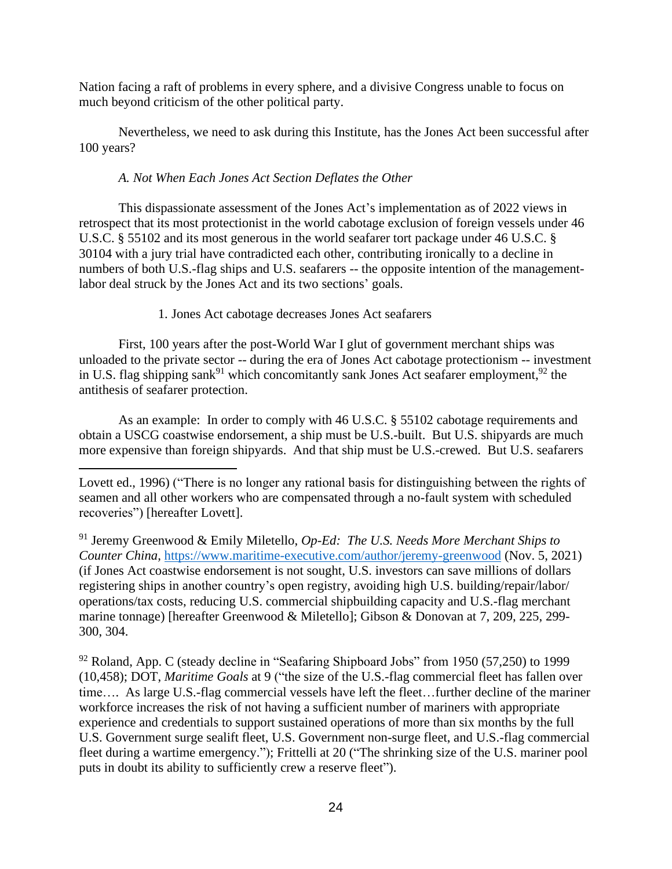Nation facing a raft of problems in every sphere, and a divisive Congress unable to focus on much beyond criticism of the other political party.

Nevertheless, we need to ask during this Institute, has the Jones Act been successful after 100 years?

## *A. Not When Each Jones Act Section Deflates the Other*

This dispassionate assessment of the Jones Act's implementation as of 2022 views in retrospect that its most protectionist in the world cabotage exclusion of foreign vessels under 46 U.S.C. § 55102 and its most generous in the world seafarer tort package under 46 U.S.C. § 30104 with a jury trial have contradicted each other, contributing ironically to a decline in numbers of both U.S.-flag ships and U.S. seafarers -- the opposite intention of the managementlabor deal struck by the Jones Act and its two sections' goals.

## 1. Jones Act cabotage decreases Jones Act seafarers

First, 100 years after the post-World War I glut of government merchant ships was unloaded to the private sector -- during the era of Jones Act cabotage protectionism -- investment in U.S. flag shipping sank<sup>91</sup> which concomitantly sank Jones Act seafarer employment,<sup>92</sup> the antithesis of seafarer protection.

As an example: In order to comply with 46 U.S.C. § 55102 cabotage requirements and obtain a USCG coastwise endorsement, a ship must be U.S.-built. But U.S. shipyards are much more expensive than foreign shipyards. And that ship must be U.S.-crewed. But U.S. seafarers

 $92$  Roland, App. C (steady decline in "Seafaring Shipboard Jobs" from 1950 (57,250) to 1999 (10,458); DOT, *Maritime Goals* at 9 ("the size of the U.S.-flag commercial fleet has fallen over time…. As large U.S.-flag commercial vessels have left the fleet…further decline of the mariner workforce increases the risk of not having a sufficient number of mariners with appropriate experience and credentials to support sustained operations of more than six months by the full U.S. Government surge sealift fleet, U.S. Government non-surge fleet, and U.S.-flag commercial fleet during a wartime emergency."); Frittelli at 20 ("The shrinking size of the U.S. mariner pool puts in doubt its ability to sufficiently crew a reserve fleet").

Lovett ed., 1996) ("There is no longer any rational basis for distinguishing between the rights of seamen and all other workers who are compensated through a no-fault system with scheduled recoveries") [hereafter Lovett].

<sup>91</sup> Jeremy Greenwood & Emily Miletello, *Op-Ed: The U.S. Needs More Merchant Ships to Counter China,* <https://www.maritime-executive.com/author/jeremy-greenwood> (Nov. 5, 2021) (if Jones Act coastwise endorsement is not sought, U.S. investors can save millions of dollars registering ships in another country's open registry, avoiding high U.S. building/repair/labor/ operations/tax costs, reducing U.S. commercial shipbuilding capacity and U.S.-flag merchant marine tonnage) [hereafter Greenwood & Miletello]; Gibson & Donovan at 7, 209, 225, 299- 300, 304.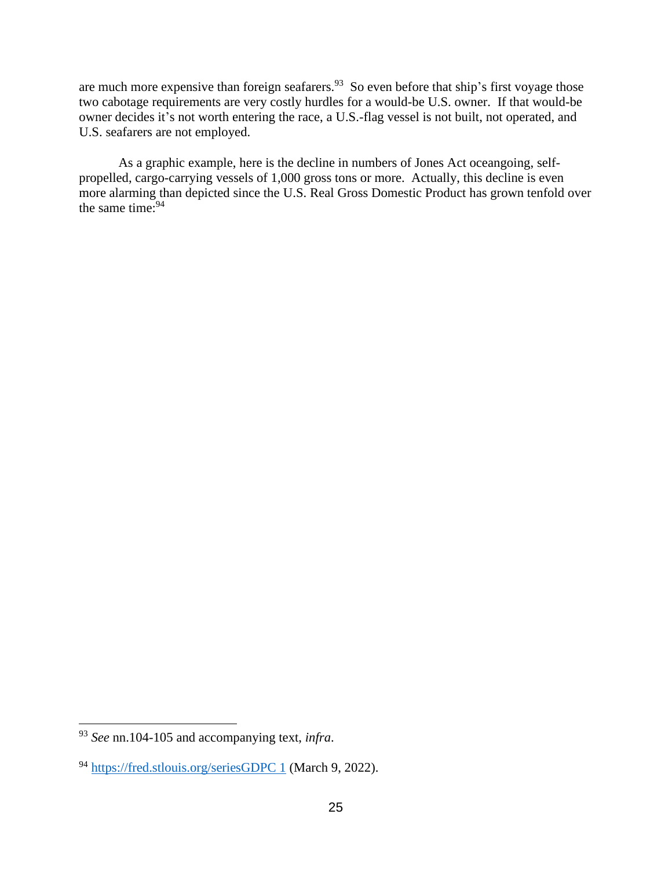are much more expensive than foreign seafarers.<sup>93</sup> So even before that ship's first voyage those two cabotage requirements are very costly hurdles for a would-be U.S. owner. If that would-be owner decides it's not worth entering the race, a U.S.-flag vessel is not built, not operated, and U.S. seafarers are not employed.

As a graphic example, here is the decline in numbers of Jones Act oceangoing, selfpropelled, cargo-carrying vessels of 1,000 gross tons or more. Actually, this decline is even more alarming than depicted since the U.S. Real Gross Domestic Product has grown tenfold over the same time:<sup>94</sup>

<sup>93</sup> *See* nn.104-105 and accompanying text, *infra*.

<sup>94</sup> [https://fred.stlouis.org/seriesGDPC 1](https://fred.stlouis.org/seriesGDPC%201) (March 9, 2022).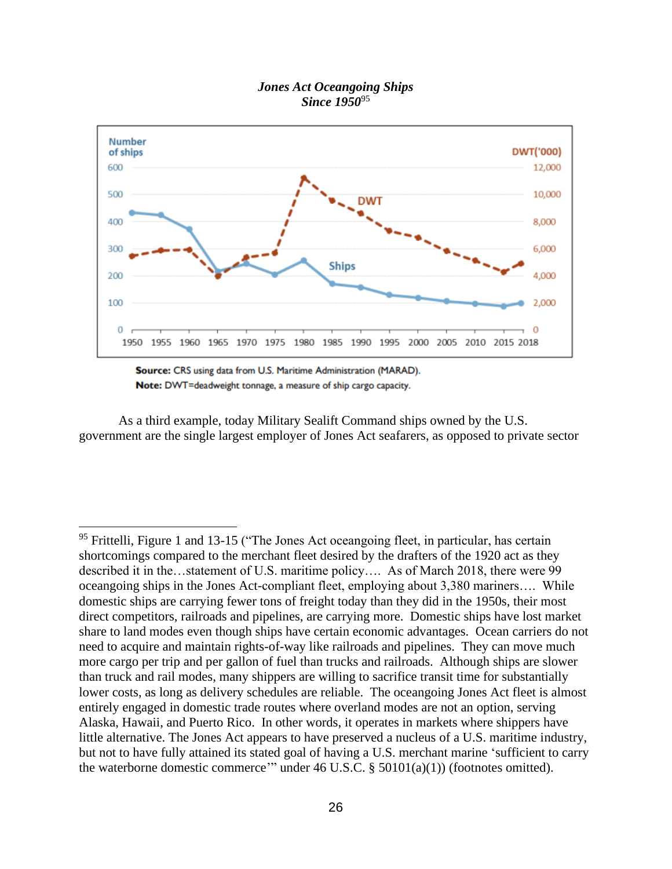### *Jones Act Oceangoing Ships Since 1950*<sup>95</sup>



Source: CRS using data from U.S. Maritime Administration (MARAD). Note: DWT=deadweight tonnage, a measure of ship cargo capacity.

As a third example, today Military Sealift Command ships owned by the U.S. government are the single largest employer of Jones Act seafarers, as opposed to private sector

<sup>&</sup>lt;sup>95</sup> Frittelli, Figure 1 and 13-15 ("The Jones Act oceangoing fleet, in particular, has certain shortcomings compared to the merchant fleet desired by the drafters of the 1920 act as they described it in the…statement of U.S. maritime policy…. As of March 2018, there were 99 oceangoing ships in the Jones Act-compliant fleet, employing about 3,380 mariners…. While domestic ships are carrying fewer tons of freight today than they did in the 1950s, their most direct competitors, railroads and pipelines, are carrying more. Domestic ships have lost market share to land modes even though ships have certain economic advantages. Ocean carriers do not need to acquire and maintain rights-of-way like railroads and pipelines. They can move much more cargo per trip and per gallon of fuel than trucks and railroads. Although ships are slower than truck and rail modes, many shippers are willing to sacrifice transit time for substantially lower costs, as long as delivery schedules are reliable. The oceangoing Jones Act fleet is almost entirely engaged in domestic trade routes where overland modes are not an option, serving Alaska, Hawaii, and Puerto Rico. In other words, it operates in markets where shippers have little alternative. The Jones Act appears to have preserved a nucleus of a U.S. maritime industry, but not to have fully attained its stated goal of having a U.S. merchant marine 'sufficient to carry the waterborne domestic commerce'" under 46 U.S.C. § 50101(a)(1)) (footnotes omitted).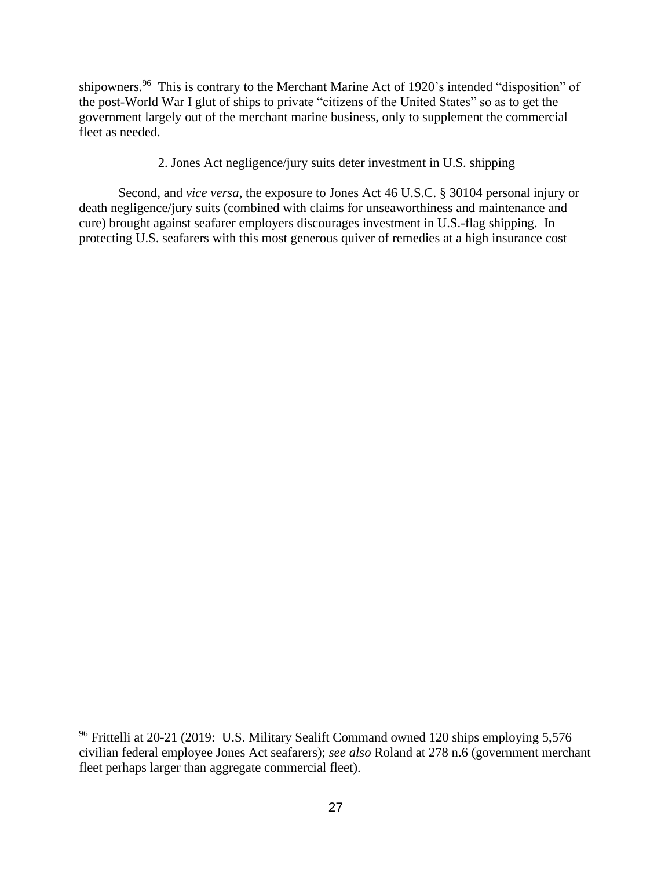shipowners.<sup>96</sup> This is contrary to the Merchant Marine Act of 1920's intended "disposition" of the post-World War I glut of ships to private "citizens of the United States" so as to get the government largely out of the merchant marine business, only to supplement the commercial fleet as needed.

2. Jones Act negligence/jury suits deter investment in U.S. shipping

 Second, and *vice versa*, the exposure to Jones Act 46 U.S.C. § 30104 personal injury or death negligence/jury suits (combined with claims for unseaworthiness and maintenance and cure) brought against seafarer employers discourages investment in U.S.-flag shipping. In protecting U.S. seafarers with this most generous quiver of remedies at a high insurance cost

<sup>96</sup> Frittelli at 20-21 (2019: U.S. Military Sealift Command owned 120 ships employing 5,576 civilian federal employee Jones Act seafarers); *see also* Roland at 278 n.6 (government merchant fleet perhaps larger than aggregate commercial fleet).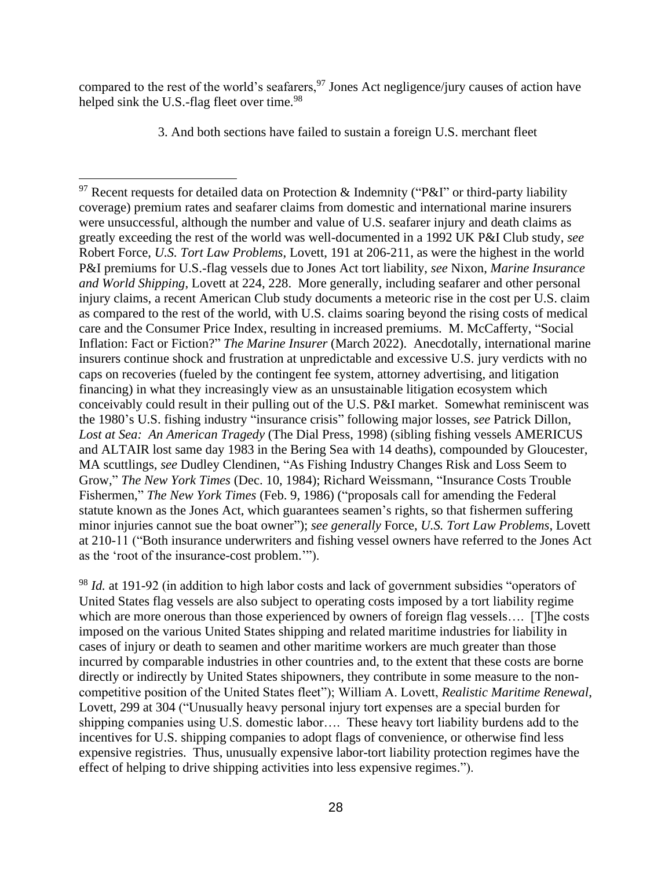compared to the rest of the world's seafarers,  $97$  Jones Act negligence/jury causes of action have helped sink the U.S.-flag fleet over time.<sup>98</sup>

3. And both sections have failed to sustain a foreign U.S. merchant fleet

<sup>&</sup>lt;sup>97</sup> Recent requests for detailed data on Protection & Indemnity ("P&I" or third-party liability coverage) premium rates and seafarer claims from domestic and international marine insurers were unsuccessful, although the number and value of U.S. seafarer injury and death claims as greatly exceeding the rest of the world was well-documented in a 1992 UK P&I Club study, *see* Robert Force, *U.S. Tort Law Problems*, Lovett, 191 at 206-211, as were the highest in the world P&I premiums for U.S.-flag vessels due to Jones Act tort liability, *see* Nixon, *Marine Insurance and World Shipping*, Lovett at 224, 228. More generally, including seafarer and other personal injury claims, a recent American Club study documents a meteoric rise in the cost per U.S. claim as compared to the rest of the world, with U.S. claims soaring beyond the rising costs of medical care and the Consumer Price Index, resulting in increased premiums. M. McCafferty, "Social Inflation: Fact or Fiction?" *The Marine Insurer* (March 2022). Anecdotally, international marine insurers continue shock and frustration at unpredictable and excessive U.S. jury verdicts with no caps on recoveries (fueled by the contingent fee system, attorney advertising, and litigation financing) in what they increasingly view as an unsustainable litigation ecosystem which conceivably could result in their pulling out of the U.S. P&I market. Somewhat reminiscent was the 1980's U.S. fishing industry "insurance crisis" following major losses, *see* Patrick Dillon, *Lost at Sea: An American Tragedy* (The Dial Press, 1998) (sibling fishing vessels AMERICUS and ALTAIR lost same day 1983 in the Bering Sea with 14 deaths), compounded by Gloucester, MA scuttlings, *see* Dudley Clendinen, "As Fishing Industry Changes Risk and Loss Seem to Grow," *The New York Times* (Dec. 10, 1984); Richard Weissmann, "Insurance Costs Trouble Fishermen," *The New York Times* (Feb. 9, 1986) ("proposals call for amending the Federal statute known as the Jones Act, which guarantees seamen's rights, so that fishermen suffering minor injuries cannot sue the boat owner"); *see generally* Force, *U.S. Tort Law Problems*, Lovett at 210-11 ("Both insurance underwriters and fishing vessel owners have referred to the Jones Act as the 'root of the insurance-cost problem.'").

<sup>&</sup>lt;sup>98</sup> *Id.* at 191-92 (in addition to high labor costs and lack of government subsidies "operators of United States flag vessels are also subject to operating costs imposed by a tort liability regime which are more onerous than those experienced by owners of foreign flag vessels.... [T]he costs imposed on the various United States shipping and related maritime industries for liability in cases of injury or death to seamen and other maritime workers are much greater than those incurred by comparable industries in other countries and, to the extent that these costs are borne directly or indirectly by United States shipowners, they contribute in some measure to the noncompetitive position of the United States fleet"); William A. Lovett, *Realistic Maritime Renewal*, Lovett, 299 at 304 ("Unusually heavy personal injury tort expenses are a special burden for shipping companies using U.S. domestic labor…. These heavy tort liability burdens add to the incentives for U.S. shipping companies to adopt flags of convenience, or otherwise find less expensive registries. Thus, unusually expensive labor-tort liability protection regimes have the effect of helping to drive shipping activities into less expensive regimes.").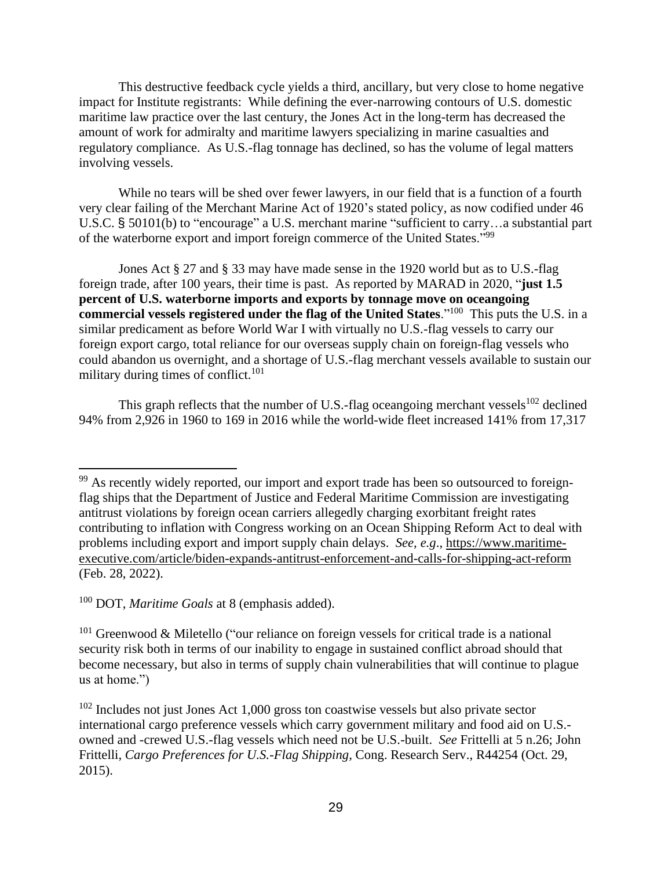This destructive feedback cycle yields a third, ancillary, but very close to home negative impact for Institute registrants: While defining the ever-narrowing contours of U.S. domestic maritime law practice over the last century, the Jones Act in the long-term has decreased the amount of work for admiralty and maritime lawyers specializing in marine casualties and regulatory compliance. As U.S.-flag tonnage has declined, so has the volume of legal matters involving vessels.

While no tears will be shed over fewer lawyers, in our field that is a function of a fourth very clear failing of the Merchant Marine Act of 1920's stated policy, as now codified under 46 U.S.C. § 50101(b) to "encourage" a U.S. merchant marine "sufficient to carry…a substantial part of the waterborne export and import foreign commerce of the United States."<sup>99</sup>

Jones Act § 27 and § 33 may have made sense in the 1920 world but as to U.S.-flag foreign trade, after 100 years, their time is past. As reported by MARAD in 2020, "**just 1.5 percent of U.S. waterborne imports and exports by tonnage move on oceangoing commercial vessels registered under the flag of the United States.**"<sup>100</sup> This puts the U.S. in a similar predicament as before World War I with virtually no U.S.-flag vessels to carry our foreign export cargo, total reliance for our overseas supply chain on foreign-flag vessels who could abandon us overnight, and a shortage of U.S.-flag merchant vessels available to sustain our military during times of conflict. $101$ 

This graph reflects that the number of U.S.-flag oceangoing merchant vessels<sup>102</sup> declined 94% from 2,926 in 1960 to 169 in 2016 while the world-wide fleet increased 141% from 17,317

<sup>&</sup>lt;sup>99</sup> As recently widely reported, our import and export trade has been so outsourced to foreignflag ships that the Department of Justice and Federal Maritime Commission are investigating antitrust violations by foreign ocean carriers allegedly charging exorbitant freight rates contributing to inflation with Congress working on an Ocean Shipping Reform Act to deal with problems including export and import supply chain delays. *See, e.g*., [https://www.maritime](https://www.maritime-executive.com/article/biden-expands-antitrust-enforcement-and-calls-for-shipping-act-reform)[executive.com/article/biden-expands-antitrust-enforcement-and-calls-for-shipping-act-reform](https://www.maritime-executive.com/article/biden-expands-antitrust-enforcement-and-calls-for-shipping-act-reform) (Feb. 28, 2022).

<sup>100</sup> DOT, *Maritime Goals* at 8 (emphasis added).

 $101$  Greenwood & Miletello ("our reliance on foreign vessels for critical trade is a national security risk both in terms of our inability to engage in sustained conflict abroad should that become necessary, but also in terms of supply chain vulnerabilities that will continue to plague us at home.")

 $102$  Includes not just Jones Act 1,000 gross ton coastwise vessels but also private sector international cargo preference vessels which carry government military and food aid on U.S. owned and -crewed U.S.-flag vessels which need not be U.S.-built. *See* Frittelli at 5 n.26; John Frittelli, *Cargo Preferences for U.S.-Flag Shipping,* Cong. Research Serv., R44254 (Oct. 29, 2015).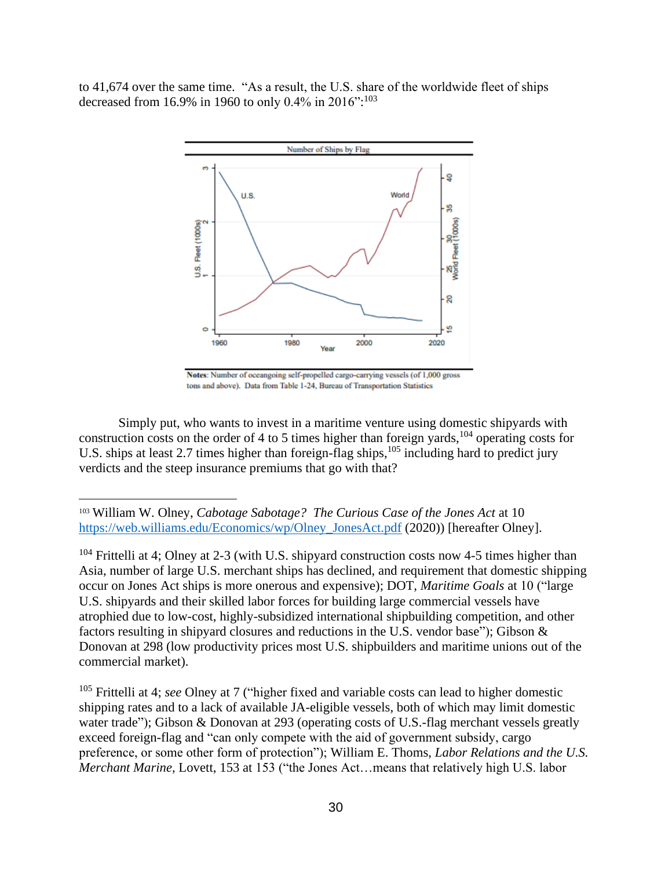to 41,674 over the same time. "As a result, the U.S. share of the worldwide fleet of ships decreased from 16.9% in 1960 to only 0.4% in 2016":<sup>103</sup>



Notes: Number of oceangoing self-propelled cargo-carrying vessels (of 1,000 gross tons and above). Data from Table 1-24, Bureau of Transportation Statistics

Simply put, who wants to invest in a maritime venture using domestic shipyards with construction costs on the order of 4 to 5 times higher than foreign yards,  $104$  operating costs for U.S. ships at least 2.7 times higher than foreign-flag ships,<sup>105</sup> including hard to predict jury verdicts and the steep insurance premiums that go with that?

<sup>103</sup> William W. Olney, *Cabotage Sabotage? The Curious Case of the Jones Act* at 10 [https://web.williams.edu/Economics/wp/Olney\\_JonesAct.pdf](https://web.williams.edu/Economics/wp/Olney_JonesAct.pdf) (2020)) [hereafter Olney].

 $104$  Frittelli at 4; Olney at 2-3 (with U.S. shipyard construction costs now 4-5 times higher than Asia, number of large U.S. merchant ships has declined, and requirement that domestic shipping occur on Jones Act ships is more onerous and expensive); DOT, *Maritime Goals* at 10 ("large U.S. shipyards and their skilled labor forces for building large commercial vessels have atrophied due to low-cost, highly-subsidized international shipbuilding competition, and other factors resulting in shipyard closures and reductions in the U.S. vendor base"); Gibson & Donovan at 298 (low productivity prices most U.S. shipbuilders and maritime unions out of the commercial market).

<sup>105</sup> Frittelli at 4; *see* Olney at 7 ("higher fixed and variable costs can lead to higher domestic shipping rates and to a lack of available JA-eligible vessels, both of which may limit domestic water trade"); Gibson & Donovan at 293 (operating costs of U.S.-flag merchant vessels greatly exceed foreign-flag and "can only compete with the aid of government subsidy, cargo preference, or some other form of protection"); William E. Thoms, *Labor Relations and the U.S. Merchant Marine,* Lovett, 153 at 153 ("the Jones Act…means that relatively high U.S. labor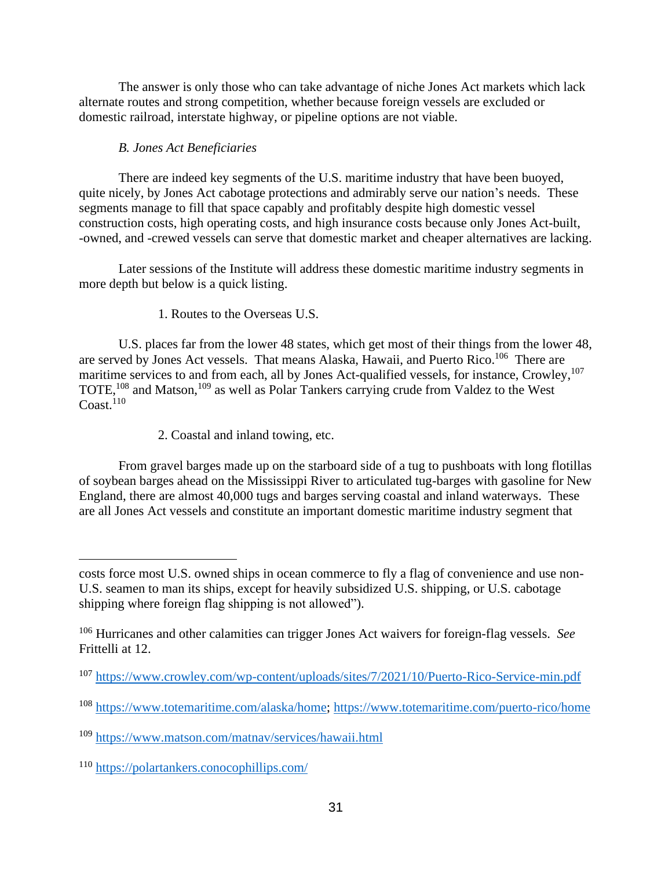The answer is only those who can take advantage of niche Jones Act markets which lack alternate routes and strong competition, whether because foreign vessels are excluded or domestic railroad, interstate highway, or pipeline options are not viable.

# *B. Jones Act Beneficiaries*

There are indeed key segments of the U.S. maritime industry that have been buoyed, quite nicely, by Jones Act cabotage protections and admirably serve our nation's needs. These segments manage to fill that space capably and profitably despite high domestic vessel construction costs, high operating costs, and high insurance costs because only Jones Act-built, -owned, and -crewed vessels can serve that domestic market and cheaper alternatives are lacking.

Later sessions of the Institute will address these domestic maritime industry segments in more depth but below is a quick listing.

# 1. Routes to the Overseas U.S.

U.S. places far from the lower 48 states, which get most of their things from the lower 48, are served by Jones Act vessels. That means Alaska, Hawaii, and Puerto Rico.<sup>106</sup> There are maritime services to and from each, all by Jones Act-qualified vessels, for instance, Crowley, 107 TOTE,<sup>108</sup> and Matson,<sup>109</sup> as well as Polar Tankers carrying crude from Valdez to the West Coast.<sup>110</sup>

2. Coastal and inland towing, etc.

From gravel barges made up on the starboard side of a tug to pushboats with long flotillas of soybean barges ahead on the Mississippi River to articulated tug-barges with gasoline for New England, there are almost 40,000 tugs and barges serving coastal and inland waterways. These are all Jones Act vessels and constitute an important domestic maritime industry segment that

costs force most U.S. owned ships in ocean commerce to fly a flag of convenience and use non-U.S. seamen to man its ships, except for heavily subsidized U.S. shipping, or U.S. cabotage shipping where foreign flag shipping is not allowed").

<sup>106</sup> Hurricanes and other calamities can trigger Jones Act waivers for foreign-flag vessels. *See* Frittelli at 12.

<sup>107</sup> <https://www.crowley.com/wp-content/uploads/sites/7/2021/10/Puerto-Rico-Service-min.pdf>

<sup>108</sup> [https://www.totemaritime.com/alaska/home;](https://www.totemaritime.com/alaska/home)<https://www.totemaritime.com/puerto-rico/home>

<sup>109</sup> <https://www.matson.com/matnav/services/hawaii.html>

<sup>110</sup> <https://polartankers.conocophillips.com/>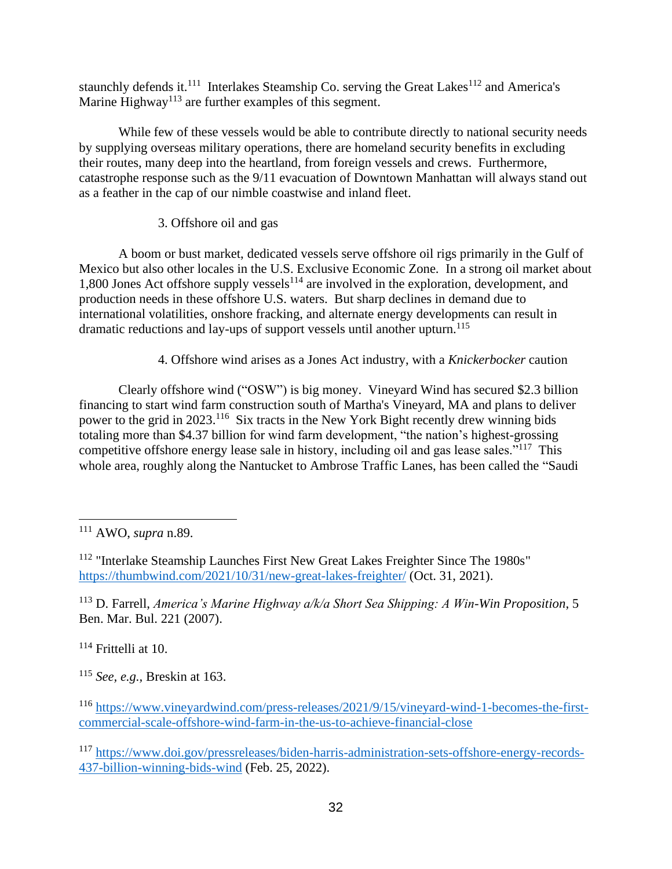staunchly defends it.<sup>111</sup> Interlakes Steamship Co. serving the Great Lakes<sup>112</sup> and America's Marine Highway<sup>113</sup> are further examples of this segment.

While few of these vessels would be able to contribute directly to national security needs by supplying overseas military operations, there are homeland security benefits in excluding their routes, many deep into the heartland, from foreign vessels and crews. Furthermore, catastrophe response such as the 9/11 evacuation of Downtown Manhattan will always stand out as a feather in the cap of our nimble coastwise and inland fleet.

# 3. Offshore oil and gas

A boom or bust market, dedicated vessels serve offshore oil rigs primarily in the Gulf of Mexico but also other locales in the U.S. Exclusive Economic Zone. In a strong oil market about 1,800 Jones Act offshore supply vessels $^{114}$  are involved in the exploration, development, and production needs in these offshore U.S. waters. But sharp declines in demand due to international volatilities, onshore fracking, and alternate energy developments can result in dramatic reductions and lay-ups of support vessels until another upturn. 115

# 4. Offshore wind arises as a Jones Act industry, with a *Knickerbocker* caution

Clearly offshore wind ("OSW") is big money. Vineyard Wind has secured \$2.3 billion financing to start wind farm construction south of Martha's Vineyard, MA and plans to deliver power to the grid in 2023.<sup>116</sup> Six tracts in the New York Bight recently drew winning bids totaling more than \$4.37 billion for wind farm development, "the nation's highest-grossing competitive offshore energy lease sale in history, including oil and gas lease sales."<sup>117</sup> This whole area, roughly along the Nantucket to Ambrose Traffic Lanes, has been called the "Saudi

<sup>113</sup> D. Farrell, *America's Marine Highway a/k/a Short Sea Shipping: A Win-Win Proposition*, 5 Ben. Mar. Bul. 221 (2007).

<sup>114</sup> Frittelli at 10.

<sup>115</sup> *See, e.g.,* Breskin at 163.

<sup>111</sup> AWO, *supra* n.89.

<sup>&</sup>lt;sup>112</sup> "Interlake Steamship Launches First New Great Lakes Freighter Since The 1980s" <https://thumbwind.com/2021/10/31/new-great-lakes-freighter/> (Oct. 31, 2021).

<sup>116</sup> [https://www.vineyardwind.com/press-releases/2021/9/15/vineyard-wind-1-becomes-the-first](https://www.vineyardwind.com/press-releases/2021/9/15/vineyard-wind-1-becomes-the-first-commercial-scale-offshore-wind-farm-in-the-us-to-achieve-financial-close)[commercial-scale-offshore-wind-farm-in-the-us-to-achieve-financial-close](https://www.vineyardwind.com/press-releases/2021/9/15/vineyard-wind-1-becomes-the-first-commercial-scale-offshore-wind-farm-in-the-us-to-achieve-financial-close)

<sup>117</sup> [https://www.doi.gov/pressreleases/biden-harris-administration-sets-offshore-energy-records-](https://www.doi.gov/pressreleases/biden-harris-administration-sets-offshore-energy-records-437-billion-winning-bids-wind)[437-billion-winning-bids-wind](https://www.doi.gov/pressreleases/biden-harris-administration-sets-offshore-energy-records-437-billion-winning-bids-wind) (Feb. 25, 2022).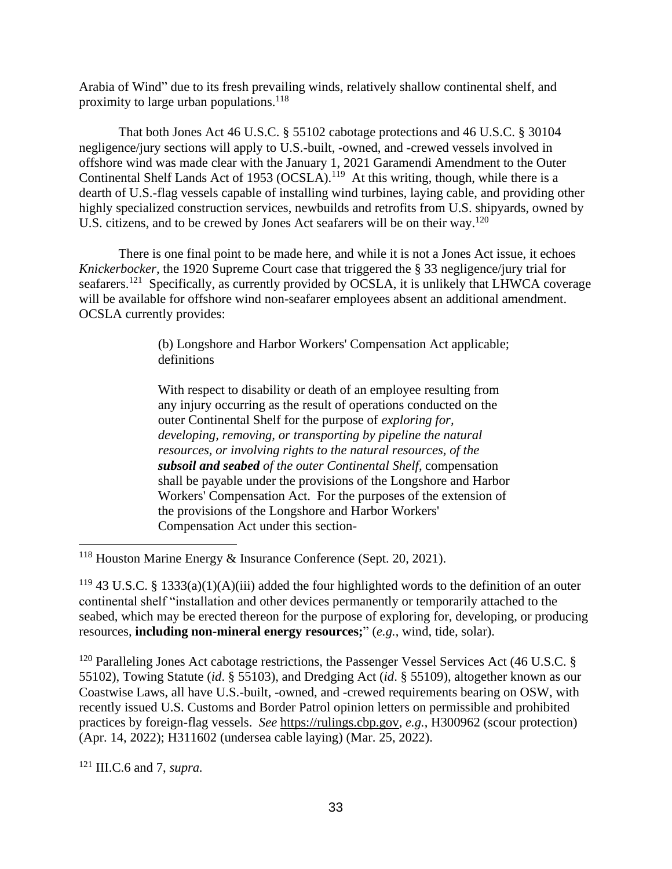Arabia of Wind" due to its fresh prevailing winds, relatively shallow continental shelf, and proximity to large urban populations.<sup>118</sup>

That both Jones Act 46 U.S.C. § 55102 cabotage protections and 46 U.S.C. § 30104 negligence/jury sections will apply to U.S.-built, -owned, and -crewed vessels involved in offshore wind was made clear with the January 1, 2021 Garamendi Amendment to the Outer Continental Shelf Lands Act of 1953 (OCSLA).<sup>119</sup> At this writing, though, while there is a dearth of U.S.-flag vessels capable of installing wind turbines, laying cable, and providing other highly specialized construction services, newbuilds and retrofits from U.S. shipyards, owned by U.S. citizens, and to be crewed by Jones Act seafarers will be on their way.<sup>120</sup>

There is one final point to be made here, and while it is not a Jones Act issue, it echoes *Knickerbocker*, the 1920 Supreme Court case that triggered the § 33 negligence/jury trial for seafarers.<sup>121</sup> Specifically, as currently provided by OCSLA, it is unlikely that LHWCA coverage will be available for offshore wind non-seafarer employees absent an additional amendment. OCSLA currently provides:

> (b) Longshore and Harbor Workers' Compensation Act applicable; definitions

> With respect to disability or death of an employee resulting from any injury occurring as the result of operations conducted on the outer Continental Shelf for the purpose of *exploring for, developing, removing, or transporting by pipeline the natural resources, or involving rights to the natural resources, of the subsoil and seabed of the outer Continental Shelf*, compensation shall be payable under the provisions of the Longshore and Harbor Workers' Compensation Act. For the purposes of the extension of the provisions of the Longshore and Harbor Workers' Compensation Act under this section-

 $120$  Paralleling Jones Act cabotage restrictions, the Passenger Vessel Services Act (46 U.S.C. § 55102), Towing Statute (*id*. § 55103), and Dredging Act (*id*. § 55109), altogether known as our Coastwise Laws, all have U.S.-built, -owned, and -crewed requirements bearing on OSW, with recently issued U.S. Customs and Border Patrol opinion letters on permissible and prohibited practices by foreign-flag vessels. *See* [https://rulings.cbp.gov,](https://rulings.cbp.gov/) *e.g.*, H300962 (scour protection) (Apr. 14, 2022); H311602 (undersea cable laying) (Mar. 25, 2022).

<sup>121</sup> III.C.6 and 7, *supra.*

<sup>118</sup> Houston Marine Energy & Insurance Conference (Sept. 20, 2021).

 $119$  43 U.S.C. § 1333(a)(1)(A)(iii) added the four highlighted words to the definition of an outer continental shelf "installation and other devices permanently or temporarily attached to the seabed, which may be erected thereon for the purpose of exploring for, developing, or producing resources, **including non-mineral energy resources;**" (*e.g.*, wind, tide, solar).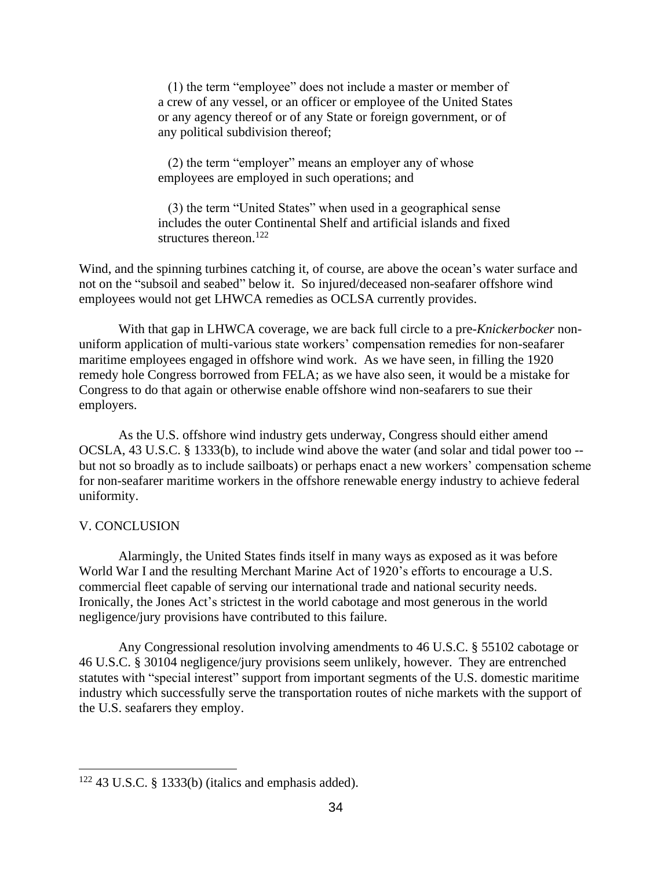(1) the term "employee" does not include a master or member of a crew of any vessel, or an officer or employee of the United States or any agency thereof or of any State or foreign government, or of any political subdivision thereof;

 (2) the term "employer" means an employer any of whose employees are employed in such operations; and

 (3) the term "United States" when used in a geographical sense includes the outer Continental Shelf and artificial islands and fixed structures thereon  $122$ 

Wind, and the spinning turbines catching it, of course, are above the ocean's water surface and not on the "subsoil and seabed" below it. So injured/deceased non-seafarer offshore wind employees would not get LHWCA remedies as OCLSA currently provides.

With that gap in LHWCA coverage, we are back full circle to a pre-*Knickerbocker* nonuniform application of multi-various state workers' compensation remedies for non-seafarer maritime employees engaged in offshore wind work. As we have seen, in filling the 1920 remedy hole Congress borrowed from FELA; as we have also seen, it would be a mistake for Congress to do that again or otherwise enable offshore wind non-seafarers to sue their employers.

As the U.S. offshore wind industry gets underway, Congress should either amend OCSLA, 43 U.S.C. § 1333(b), to include wind above the water (and solar and tidal power too - but not so broadly as to include sailboats) or perhaps enact a new workers' compensation scheme for non-seafarer maritime workers in the offshore renewable energy industry to achieve federal uniformity.

### V. CONCLUSION

Alarmingly, the United States finds itself in many ways as exposed as it was before World War I and the resulting Merchant Marine Act of 1920's efforts to encourage a U.S. commercial fleet capable of serving our international trade and national security needs. Ironically, the Jones Act's strictest in the world cabotage and most generous in the world negligence/jury provisions have contributed to this failure.

Any Congressional resolution involving amendments to 46 U.S.C. § 55102 cabotage or 46 U.S.C. § 30104 negligence/jury provisions seem unlikely, however. They are entrenched statutes with "special interest" support from important segments of the U.S. domestic maritime industry which successfully serve the transportation routes of niche markets with the support of the U.S. seafarers they employ.

<sup>122</sup> 43 U.S.C. § 1333(b) (italics and emphasis added).